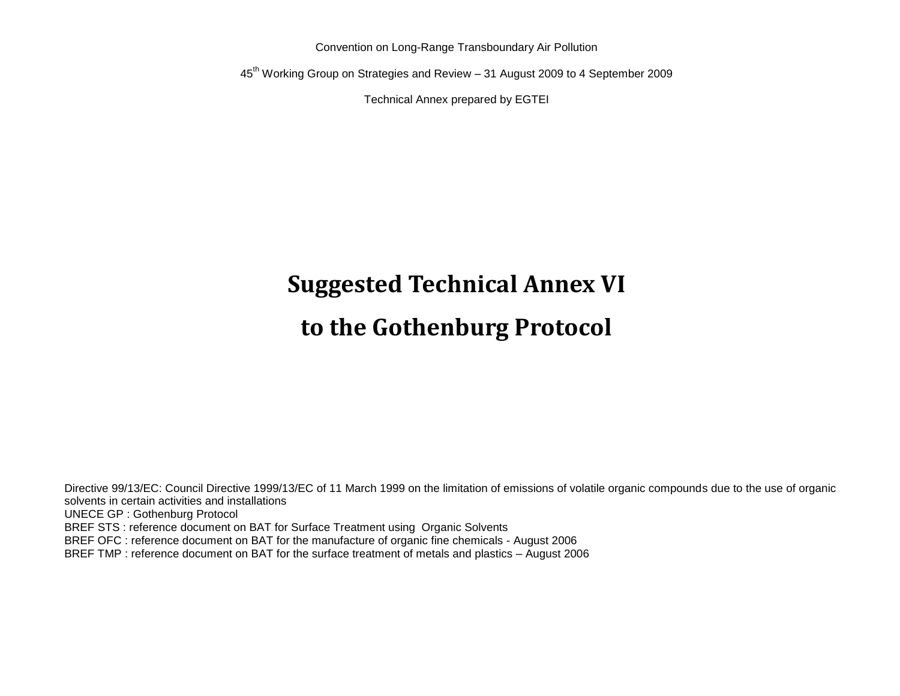Convention on Long-Range Transboundary Air Pollution

45th Working Group on Strategies and Review – 31 August 2009 to 4 September 2009

Technical Annex prepared by EGTEI

# **Suggested Technical Annex VI**

# **to the Gothenburg Protocol**

Directive 99/13/EC: Council Directive 1999/13/EC of 11 March 1999 on the limitation of emissions of volatile organic compounds due to the use of organic solvents in certain activities and installations UNECE GP : Gothenburg Protocol BREF STS : reference document on BAT for Surface Treatment using Organic Solvents BREF OFC : reference document on BAT for the manufacture of organic fine chemicals - August 2006 BREF TMP : reference document on BAT for the surface treatment of metals and plastics – August 2006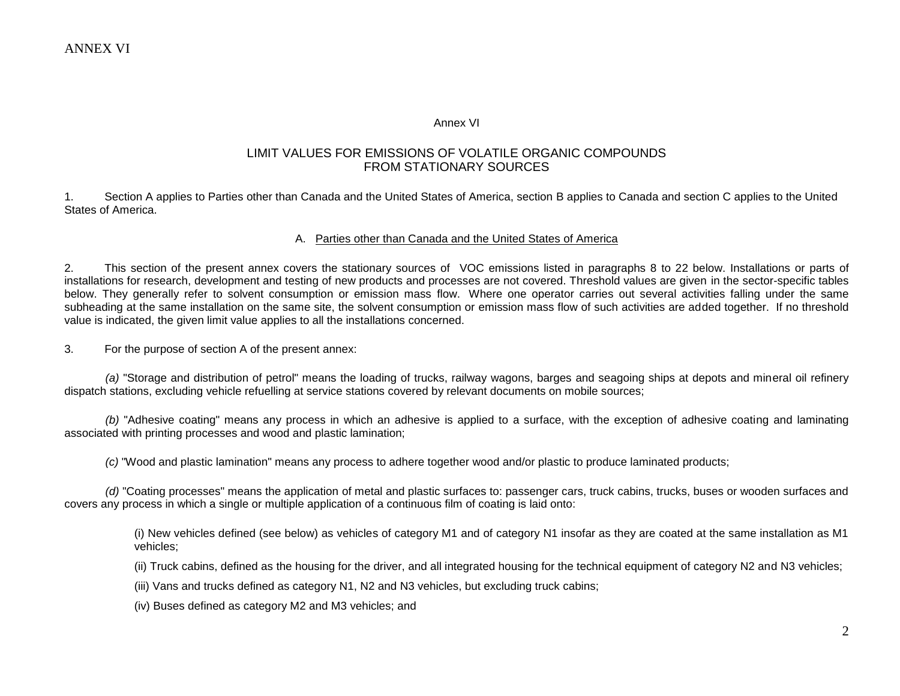#### Annex VI

#### LIMIT VALUES FOR EMISSIONS OF VOLATILE ORGANIC COMPOUNDS FROM STATIONARY SOURCES

1. Section A applies to Parties other than Canada and the United States of America, section B applies to Canada and section C applies to the United States of America.

#### A. Parties other than Canada and the United States of America

2. This section of the present annex covers the stationary sources of VOC emissions listed in paragraphs 8 to 22 below. Installations or parts of installations for research, development and testing of new products and processes are not covered. Threshold values are given in the sector-specific tables below. They generally refer to solvent consumption or emission mass flow. Where one operator carries out several activities falling under the same subheading at the same installation on the same site, the solvent consumption or emission mass flow of such activities are added together. If no threshold value is indicated, the given limit value applies to all the installations concerned.

3. For the purpose of section A of the present annex:

*(a)* "Storage and distribution of petrol" means the loading of trucks, railway wagons, barges and seagoing ships at depots and mineral oil refinery dispatch stations, excluding vehicle refuelling at service stations covered by relevant documents on mobile sources;

*(b)* "Adhesive coating" means any process in which an adhesive is applied to a surface, with the exception of adhesive coating and laminating associated with printing processes and wood and plastic lamination;

*(c)* "Wood and plastic lamination" means any process to adhere together wood and/or plastic to produce laminated products;

*(d)* "Coating processes" means the application of metal and plastic surfaces to: passenger cars, truck cabins, trucks, buses or wooden surfaces and covers any process in which a single or multiple application of a continuous film of coating is laid onto:

(i) New vehicles defined (see below) as vehicles of category M1 and of category N1 insofar as they are coated at the same installation as M1 vehicles;

(ii) Truck cabins, defined as the housing for the driver, and all integrated housing for the technical equipment of category N2 and N3 vehicles;

(iii) Vans and trucks defined as category N1, N2 and N3 vehicles, but excluding truck cabins;

(iv) Buses defined as category M2 and M3 vehicles; and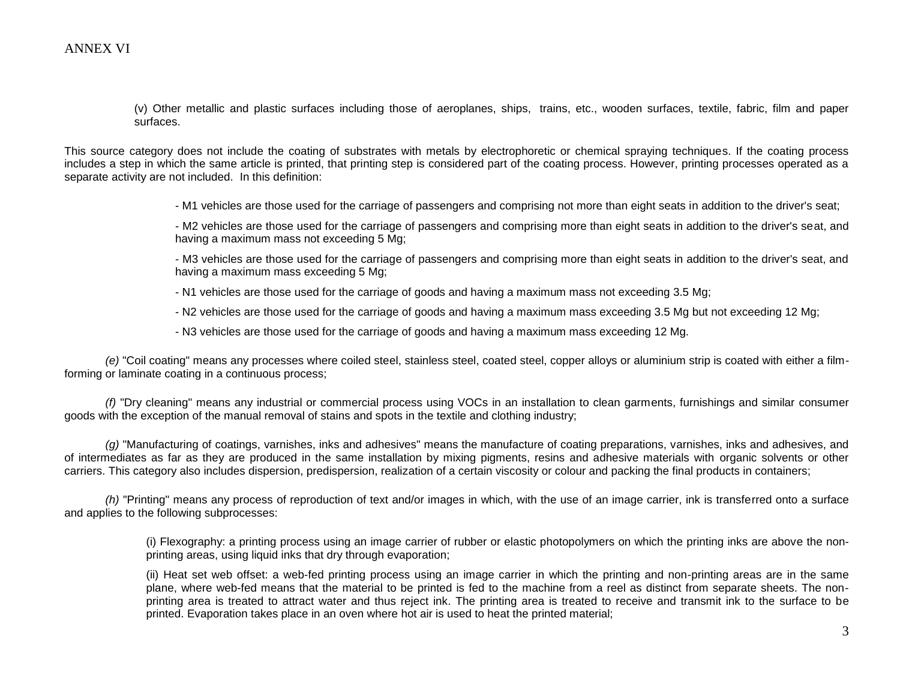(v) Other metallic and plastic surfaces including those of aeroplanes, ships, trains, etc., wooden surfaces, textile, fabric, film and paper surfaces.

This source category does not include the coating of substrates with metals by electrophoretic or chemical spraying techniques. If the coating process includes a step in which the same article is printed, that printing step is considered part of the coating process. However, printing processes operated as a separate activity are not included. In this definition:

- M1 vehicles are those used for the carriage of passengers and comprising not more than eight seats in addition to the driver's seat;

- M2 vehicles are those used for the carriage of passengers and comprising more than eight seats in addition to the driver's seat, and having a maximum mass not exceeding 5 Mg;

- M3 vehicles are those used for the carriage of passengers and comprising more than eight seats in addition to the driver's seat, and having a maximum mass exceeding 5 Mg;

- N1 vehicles are those used for the carriage of goods and having a maximum mass not exceeding 3.5 Mg;
- N2 vehicles are those used for the carriage of goods and having a maximum mass exceeding 3.5 Mg but not exceeding 12 Mg;
- N3 vehicles are those used for the carriage of goods and having a maximum mass exceeding 12 Mg.

*(e)* "Coil coating" means any processes where coiled steel, stainless steel, coated steel, copper alloys or aluminium strip is coated with either a filmforming or laminate coating in a continuous process;

*(f)* "Dry cleaning" means any industrial or commercial process using VOCs in an installation to clean garments, furnishings and similar consumer goods with the exception of the manual removal of stains and spots in the textile and clothing industry;

*(g)* "Manufacturing of coatings, varnishes, inks and adhesives" means the manufacture of coating preparations, varnishes, inks and adhesives, and of intermediates as far as they are produced in the same installation by mixing pigments, resins and adhesive materials with organic solvents or other carriers. This category also includes dispersion, predispersion, realization of a certain viscosity or colour and packing the final products in containers;

*(h)* "Printing" means any process of reproduction of text and/or images in which, with the use of an image carrier, ink is transferred onto a surface and applies to the following subprocesses:

> (i) Flexography: a printing process using an image carrier of rubber or elastic photopolymers on which the printing inks are above the nonprinting areas, using liquid inks that dry through evaporation;

> (ii) Heat set web offset: a web-fed printing process using an image carrier in which the printing and non-printing areas are in the same plane, where web-fed means that the material to be printed is fed to the machine from a reel as distinct from separate sheets. The nonprinting area is treated to attract water and thus reject ink. The printing area is treated to receive and transmit ink to the surface to be printed. Evaporation takes place in an oven where hot air is used to heat the printed material;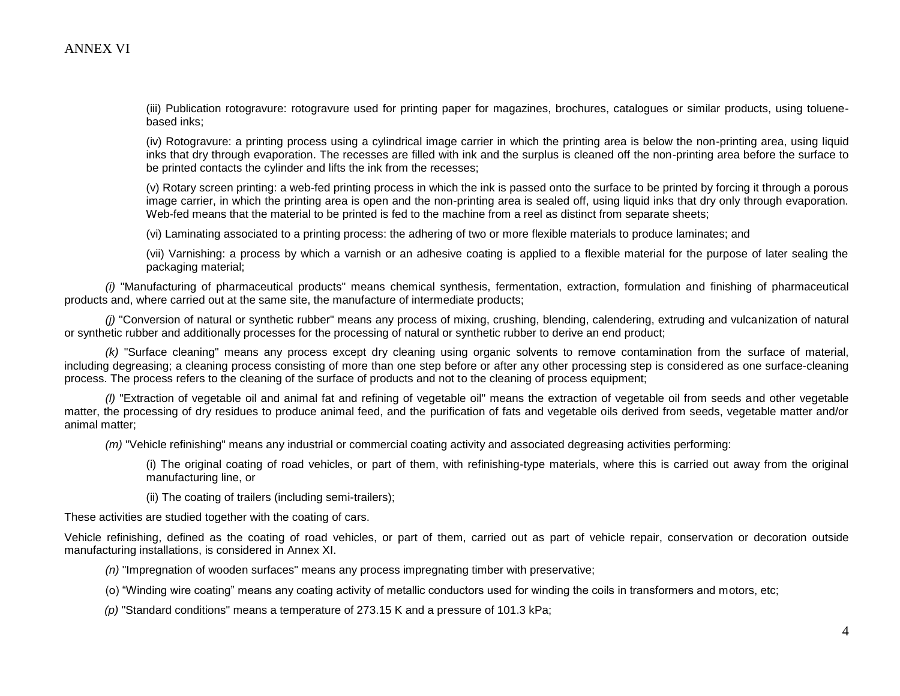(iii) Publication rotogravure: rotogravure used for printing paper for magazines, brochures, catalogues or similar products, using toluenebased inks;

(iv) Rotogravure: a printing process using a cylindrical image carrier in which the printing area is below the non-printing area, using liquid inks that dry through evaporation. The recesses are filled with ink and the surplus is cleaned off the non-printing area before the surface to be printed contacts the cylinder and lifts the ink from the recesses;

(v) Rotary screen printing: a web-fed printing process in which the ink is passed onto the surface to be printed by forcing it through a porous image carrier, in which the printing area is open and the non-printing area is sealed off, using liquid inks that dry only through evaporation. Web-fed means that the material to be printed is fed to the machine from a reel as distinct from separate sheets;

(vi) Laminating associated to a printing process: the adhering of two or more flexible materials to produce laminates; and

(vii) Varnishing: a process by which a varnish or an adhesive coating is applied to a flexible material for the purpose of later sealing the packaging material;

*(i)* "Manufacturing of pharmaceutical products" means chemical synthesis, fermentation, extraction, formulation and finishing of pharmaceutical products and, where carried out at the same site, the manufacture of intermediate products;

*(j)* "Conversion of natural or synthetic rubber" means any process of mixing, crushing, blending, calendering, extruding and vulcanization of natural or synthetic rubber and additionally processes for the processing of natural or synthetic rubber to derive an end product;

*(k)* "Surface cleaning" means any process except dry cleaning using organic solvents to remove contamination from the surface of material, including degreasing; a cleaning process consisting of more than one step before or after any other processing step is considered as one surface-cleaning process. The process refers to the cleaning of the surface of products and not to the cleaning of process equipment;

*(l)* "Extraction of vegetable oil and animal fat and refining of vegetable oil" means the extraction of vegetable oil from seeds and other vegetable matter, the processing of dry residues to produce animal feed, and the purification of fats and vegetable oils derived from seeds, vegetable matter and/or animal matter;

*(m)* "Vehicle refinishing" means any industrial or commercial coating activity and associated degreasing activities performing:

(i) The original coating of road vehicles, or part of them, with refinishing-type materials, where this is carried out away from the original manufacturing line, or

(ii) The coating of trailers (including semi-trailers);

These activities are studied together with the coating of cars.

Vehicle refinishing, defined as the coating of road vehicles, or part of them, carried out as part of vehicle repair, conservation or decoration outside manufacturing installations, is considered in Annex XI.

*(n)* "Impregnation of wooden surfaces" means any process impregnating timber with preservative;

(o) "Winding wire coating" means any coating activity of metallic conductors used for winding the coils in transformers and motors, etc;

*(p)* "Standard conditions" means a temperature of 273.15 K and a pressure of 101.3 kPa;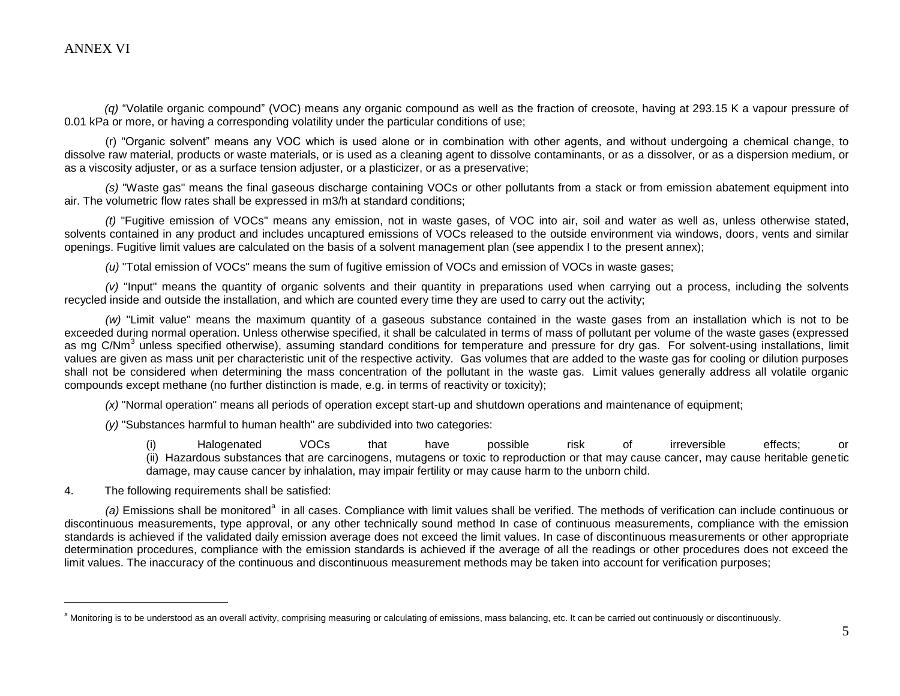$\overline{a}$ 

*(q)* "Volatile organic compound" (VOC) means any organic compound as well as the fraction of creosote, having at 293.15 K a vapour pressure of 0.01 kPa or more, or having a corresponding volatility under the particular conditions of use;

(r) "Organic solvent" means any VOC which is used alone or in combination with other agents, and without undergoing a chemical change, to dissolve raw material, products or waste materials, or is used as a cleaning agent to dissolve contaminants, or as a dissolver, or as a dispersion medium, or as a viscosity adjuster, or as a surface tension adjuster, or a plasticizer, or as a preservative;

*(s)* "Waste gas" means the final gaseous discharge containing VOCs or other pollutants from a stack or from emission abatement equipment into air. The volumetric flow rates shall be expressed in m3/h at standard conditions;

*(t)* "Fugitive emission of VOCs" means any emission, not in waste gases, of VOC into air, soil and water as well as, unless otherwise stated, solvents contained in any product and includes uncaptured emissions of VOCs released to the outside environment via windows, doors, vents and similar openings. Fugitive limit values are calculated on the basis of a solvent management plan (see appendix I to the present annex);

*(u)* "Total emission of VOCs" means the sum of fugitive emission of VOCs and emission of VOCs in waste gases;

 $(v)$  "Input" means the quantity of organic solvents and their quantity in preparations used when carrying out a process, including the solvents recycled inside and outside the installation, and which are counted every time they are used to carry out the activity;

*(w)* "Limit value" means the maximum quantity of a gaseous substance contained in the waste gases from an installation which is not to be exceeded during normal operation. Unless otherwise specified, it shall be calculated in terms of mass of pollutant per volume of the waste gases (expressed as mg C/Nm<sup>3</sup> unless specified otherwise), assuming standard conditions for temperature and pressure for dry gas. For solvent-using installations, limit values are given as mass unit per characteristic unit of the respective activity. Gas volumes that are added to the waste gas for cooling or dilution purposes shall not be considered when determining the mass concentration of the pollutant in the waste gas. Limit values generally address all volatile organic compounds except methane (no further distinction is made, e.g. in terms of reactivity or toxicity);

*(x)* "Normal operation" means all periods of operation except start-up and shutdown operations and maintenance of equipment;

*(y)* "Substances harmful to human health" are subdivided into two categories:

(i) Halogenated VOCs that have possible risk of irreversible effects; or (ii) Hazardous substances that are carcinogens, mutagens or toxic to reproduction or that may cause cancer, may cause heritable genetic damage, may cause cancer by inhalation, may impair fertility or may cause harm to the unborn child.

4. The following requirements shall be satisfied:

(a) Emissions shall be monitored<sup>a</sup> in all cases. Compliance with limit values shall be verified. The methods of verification can include continuous or discontinuous measurements, type approval, or any other technically sound method In case of continuous measurements, compliance with the emission standards is achieved if the validated daily emission average does not exceed the limit values. In case of discontinuous measurements or other appropriate determination procedures, compliance with the emission standards is achieved if the average of all the readings or other procedures does not exceed the limit values. The inaccuracy of the continuous and discontinuous measurement methods may be taken into account for verification purposes;

<sup>&</sup>lt;sup>a</sup> Monitoring is to be understood as an overall activity, comprising measuring or calculating of emissions, mass balancing, etc. It can be carried out continuously or discontinuously.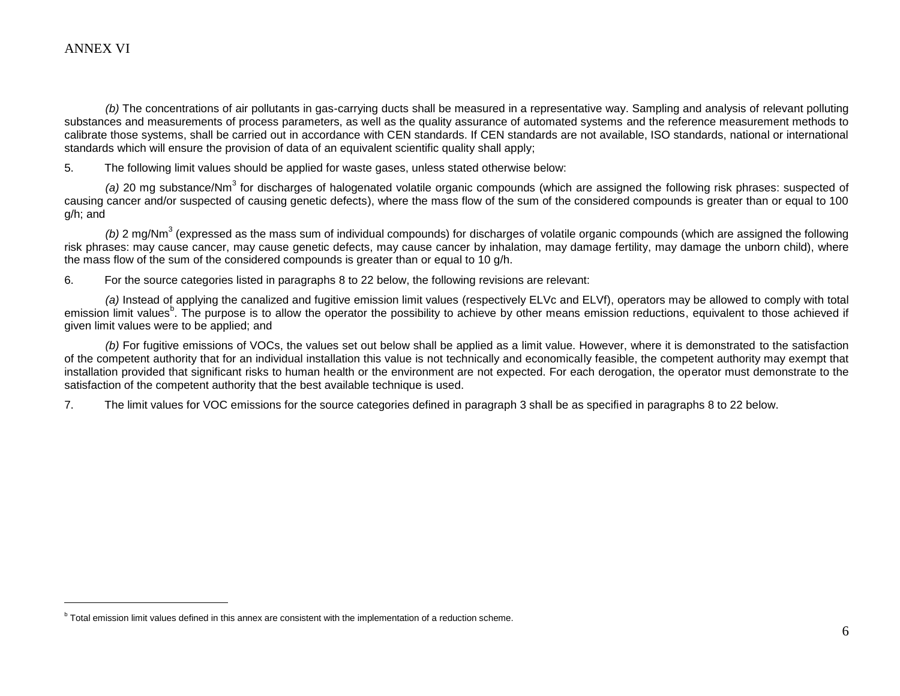$\overline{a}$ 

*(b)* The concentrations of air pollutants in gas-carrying ducts shall be measured in a representative way. Sampling and analysis of relevant polluting substances and measurements of process parameters, as well as the quality assurance of automated systems and the reference measurement methods to calibrate those systems, shall be carried out in accordance with CEN standards. If CEN standards are not available, ISO standards, national or international standards which will ensure the provision of data of an equivalent scientific quality shall apply;

5. The following limit values should be applied for waste gases, unless stated otherwise below:

(a) 20 mg substance/Nm<sup>3</sup> for discharges of halogenated volatile organic compounds (which are assigned the following risk phrases: suspected of causing cancer and/or suspected of causing genetic defects), where the mass flow of the sum of the considered compounds is greater than or equal to 100 g/h; and

(b) 2 mg/Nm<sup>3</sup> (expressed as the mass sum of individual compounds) for discharges of volatile organic compounds (which are assigned the following risk phrases: may cause cancer, may cause genetic defects, may cause cancer by inhalation, may damage fertility, may damage the unborn child), where the mass flow of the sum of the considered compounds is greater than or equal to 10 g/h.

6. For the source categories listed in paragraphs 8 to 22 below, the following revisions are relevant:

*(a)* Instead of applying the canalized and fugitive emission limit values (respectively ELVc and ELVf), operators may be allowed to comply with total emission limit values<sup>b</sup>. The purpose is to allow the operator the possibility to achieve by other means emission reductions, equivalent to those achieved if given limit values were to be applied; and

*(b)* For fugitive emissions of VOCs, the values set out below shall be applied as a limit value. However, where it is demonstrated to the satisfaction of the competent authority that for an individual installation this value is not technically and economically feasible, the competent authority may exempt that installation provided that significant risks to human health or the environment are not expected. For each derogation, the operator must demonstrate to the satisfaction of the competent authority that the best available technique is used.

7. The limit values for VOC emissions for the source categories defined in paragraph 3 shall be as specified in paragraphs 8 to 22 below.

**b** Total emission limit values defined in this annex are consistent with the implementation of a reduction scheme.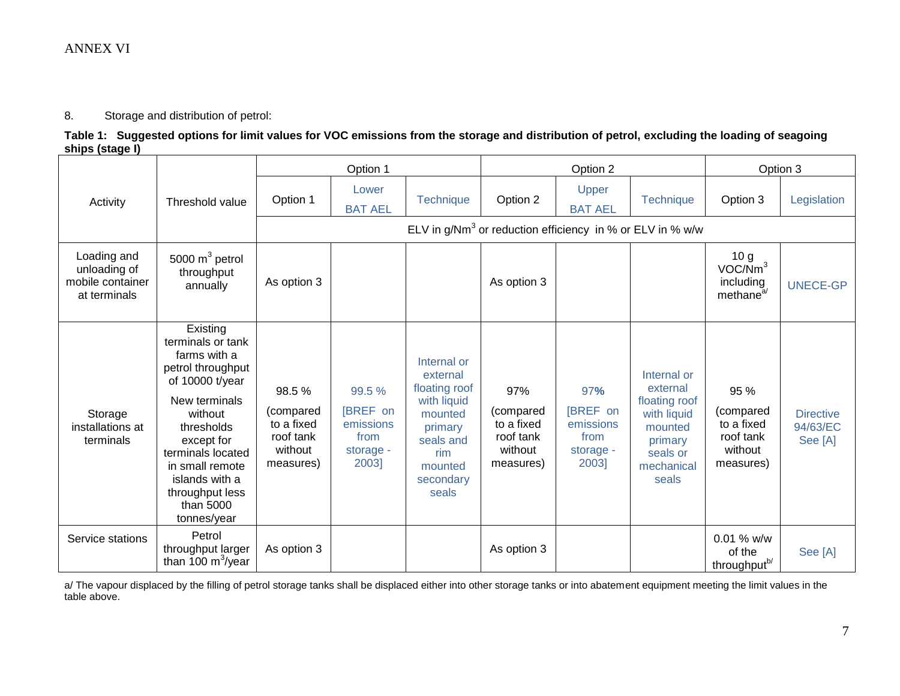8. Storage and distribution of petrol:

**Table 1: Suggested options for limit values for VOC emissions from the storage and distribution of petrol, excluding the loading of seagoing ships (stage I)**

|                                                                 |                                                                                                                                                                                                                                                        | Option 1                                                              |                                                               | Option 2                                                                                                                           |                                                                     | Option 3                                                   |                                                                                                                  |                                                                              |                                         |
|-----------------------------------------------------------------|--------------------------------------------------------------------------------------------------------------------------------------------------------------------------------------------------------------------------------------------------------|-----------------------------------------------------------------------|---------------------------------------------------------------|------------------------------------------------------------------------------------------------------------------------------------|---------------------------------------------------------------------|------------------------------------------------------------|------------------------------------------------------------------------------------------------------------------|------------------------------------------------------------------------------|-----------------------------------------|
| Activity                                                        | Threshold value                                                                                                                                                                                                                                        | Option 1                                                              | Lower<br><b>BAT AEL</b>                                       | <b>Technique</b>                                                                                                                   | Option 2                                                            | Upper<br><b>BAT AEL</b>                                    | Technique                                                                                                        | Option 3                                                                     | Legislation                             |
|                                                                 |                                                                                                                                                                                                                                                        |                                                                       |                                                               |                                                                                                                                    | ELV in $g/Nm3$ or reduction efficiency in % or ELV in % w/w         |                                                            |                                                                                                                  |                                                                              |                                         |
| Loading and<br>unloading of<br>mobile container<br>at terminals | 5000 $m^3$ petrol<br>throughput<br>annually                                                                                                                                                                                                            | As option 3                                                           |                                                               |                                                                                                                                    | As option 3                                                         |                                                            |                                                                                                                  | 10 <sub>g</sub><br>VOC/Nm <sup>3</sup><br>including<br>methane <sup>a/</sup> | <b>UNECE-GP</b>                         |
| Storage<br>installations at<br>terminals                        | Existing<br>terminals or tank<br>farms with a<br>petrol throughput<br>of 10000 t/year<br>New terminals<br>without<br>thresholds<br>except for<br>terminals located<br>in small remote<br>islands with a<br>throughput less<br>than 5000<br>tonnes/year | 98.5%<br>(compared<br>to a fixed<br>roof tank<br>without<br>measures) | 99.5 %<br>[BREF on<br>emissions<br>from<br>storage -<br>2003] | Internal or<br>external<br>floating roof<br>with liquid<br>mounted<br>primary<br>seals and<br>rim<br>mounted<br>secondary<br>seals | 97%<br>(compared<br>to a fixed<br>roof tank<br>without<br>measures) | 97%<br>[BREF on<br>emissions<br>from<br>storage -<br>2003] | Internal or<br>external<br>floating roof<br>with liquid<br>mounted<br>primary<br>seals or<br>mechanical<br>seals | 95 %<br>(compared<br>to a fixed<br>roof tank<br>without<br>measures)         | <b>Directive</b><br>94/63/EC<br>See [A] |
| Service stations                                                | Petrol<br>throughput larger<br>than 100 $\mathrm{m}^3$ /year                                                                                                                                                                                           | As option 3                                                           |                                                               |                                                                                                                                    | As option 3                                                         |                                                            |                                                                                                                  | 0.01 % w/w<br>of the<br>throughput <sup>b/</sup>                             | See [A]                                 |

a/ The vapour displaced by the filling of petrol storage tanks shall be displaced either into other storage tanks or into abatement equipment meeting the limit values in the table above.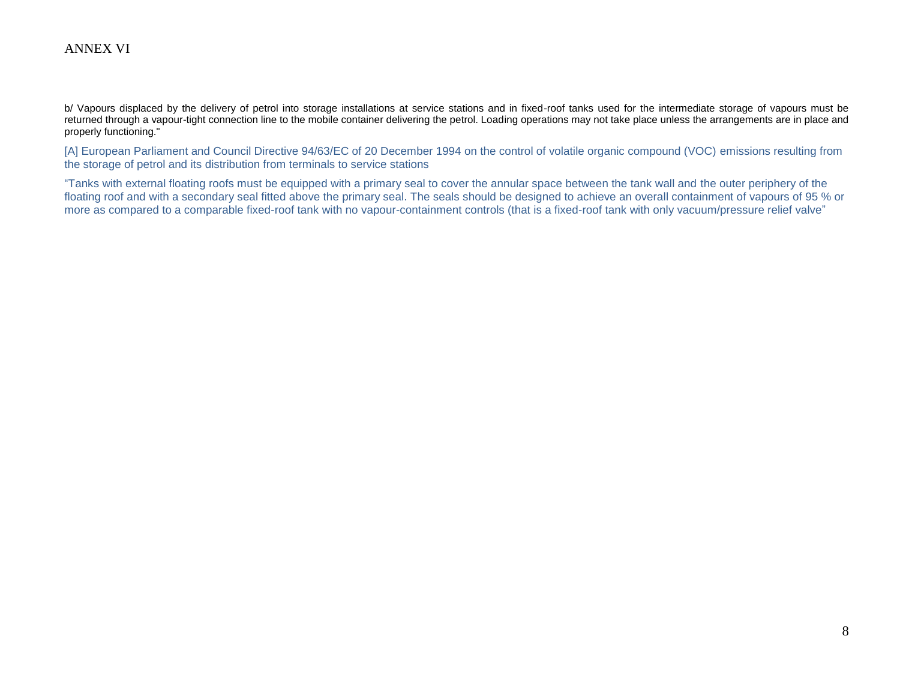b/ Vapours displaced by the delivery of petrol into storage installations at service stations and in fixed-roof tanks used for the intermediate storage of vapours must be returned through a vapour-tight connection line to the mobile container delivering the petrol. Loading operations may not take place unless the arrangements are in place and properly functioning."

[A] European Parliament and Council Directive 94/63/EC of 20 December 1994 on the control of volatile organic compound (VOC) emissions resulting from the storage of petrol and its distribution from terminals to service stations

"Tanks with external floating roofs must be equipped with a primary seal to cover the annular space between the tank wall and the outer periphery of the floating roof and with a secondary seal fitted above the primary seal. The seals should be designed to achieve an overall containment of vapours of 95 % or more as compared to a comparable fixed-roof tank with no vapour-containment controls (that is a fixed-roof tank with only vacuum/pressure relief valve"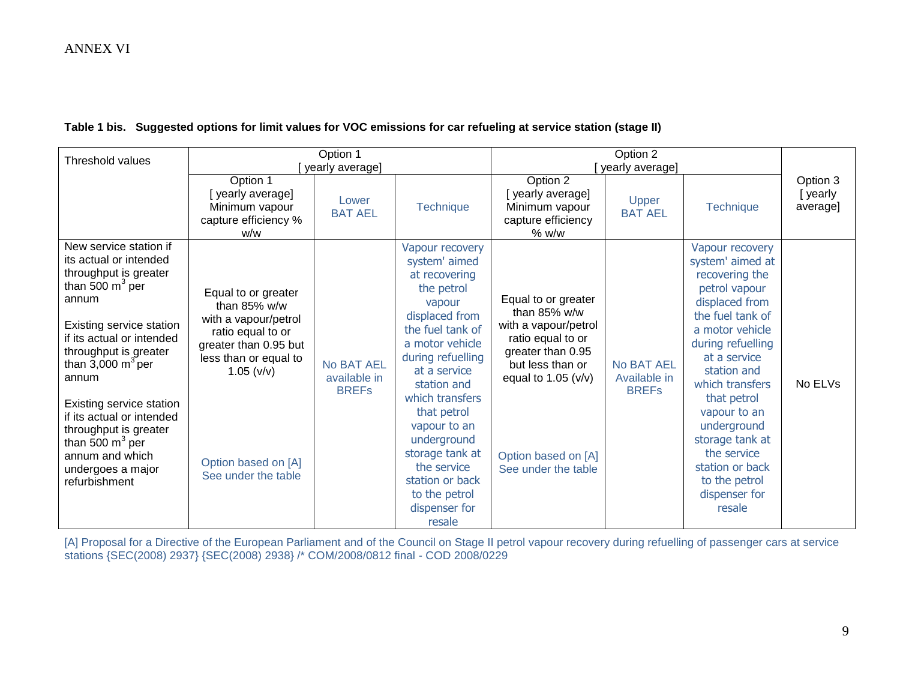#### **Table 1 bis. Suggested options for limit values for VOC emissions for car refueling at service station (stage II)**

| <b>Threshold values</b>                                                                                                                                                                                                                                                                                                                                                                              |                                                                                                                                                                                                   | Option 1<br>yearly average]                |                                                                                                                                                                                                                                                                                                                                                          | Option 2<br>yearly average]                                                                                                                                                                          |                                            |                                                                                                                                                                                                                                                                                                                                                       |                                 |
|------------------------------------------------------------------------------------------------------------------------------------------------------------------------------------------------------------------------------------------------------------------------------------------------------------------------------------------------------------------------------------------------------|---------------------------------------------------------------------------------------------------------------------------------------------------------------------------------------------------|--------------------------------------------|----------------------------------------------------------------------------------------------------------------------------------------------------------------------------------------------------------------------------------------------------------------------------------------------------------------------------------------------------------|------------------------------------------------------------------------------------------------------------------------------------------------------------------------------------------------------|--------------------------------------------|-------------------------------------------------------------------------------------------------------------------------------------------------------------------------------------------------------------------------------------------------------------------------------------------------------------------------------------------------------|---------------------------------|
|                                                                                                                                                                                                                                                                                                                                                                                                      | Option 1<br>[yearly average]<br>Minimum vapour<br>capture efficiency %<br>w/w                                                                                                                     | Lower<br><b>BAT AEL</b>                    | <b>Technique</b>                                                                                                                                                                                                                                                                                                                                         | Option 2<br>[yearly average]<br>Minimum vapour<br>capture efficiency<br>% w/w                                                                                                                        | Upper<br><b>BAT AEL</b>                    | <b>Technique</b>                                                                                                                                                                                                                                                                                                                                      | Option 3<br>[yearly<br>average] |
| New service station if<br>its actual or intended<br>throughput is greater<br>than 500 $m^3$ per<br>annum<br>Existing service station<br>if its actual or intended<br>throughput is greater<br>than $3,000 \text{ m}^3$ per<br>annum<br>Existing service station<br>if its actual or intended<br>throughput is greater<br>than 500 $m^3$ per<br>annum and which<br>undergoes a major<br>refurbishment | Equal to or greater<br>than $85\%$ w/w<br>with a vapour/petrol<br>ratio equal to or<br>greater than 0.95 but<br>less than or equal to<br>1.05 (v/v)<br>Option based on [A]<br>See under the table | No BAT AEL<br>available in<br><b>BREFs</b> | Vapour recovery<br>system' aimed<br>at recovering<br>the petrol<br>vapour<br>displaced from<br>the fuel tank of<br>a motor vehicle<br>during refuelling<br>at a service<br>station and<br>which transfers<br>that petrol<br>vapour to an<br>underground<br>storage tank at<br>the service<br>station or back<br>to the petrol<br>dispenser for<br>resale | Equal to or greater<br>than 85% w/w<br>with a vapour/petrol<br>ratio equal to or<br>greater than 0.95<br>but less than or<br>equal to $1.05$ ( $v/v$ )<br>Option based on [A]<br>See under the table | No BAT AEL<br>Available in<br><b>BREFs</b> | Vapour recovery<br>system' aimed at<br>recovering the<br>petrol vapour<br>displaced from<br>the fuel tank of<br>a motor vehicle<br>during refuelling<br>at a service<br>station and<br>which transfers<br>that petrol<br>vapour to an<br>underground<br>storage tank at<br>the service<br>station or back<br>to the petrol<br>dispenser for<br>resale | No ELVs                         |

[A] Proposal for a Directive of the European Parliament and of the Council on Stage II petrol vapour recovery during refuelling of passenger cars at service stations {SEC(2008) 2937} {SEC(2008) 2938} /\* COM/2008/0812 final - COD 2008/0229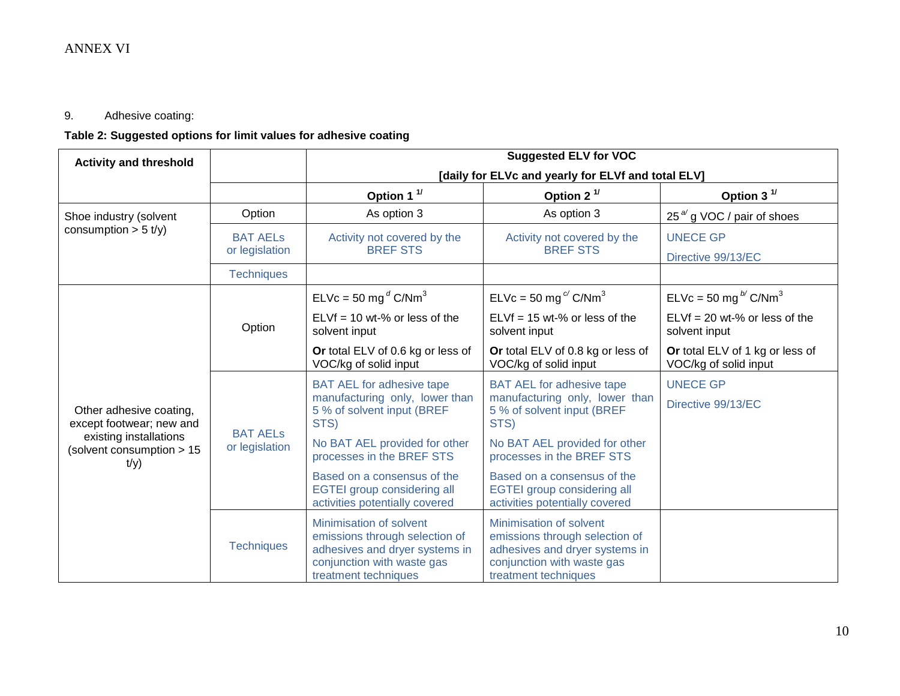# 9. Adhesive coating:

# **Table 2: Suggested options for limit values for adhesive coating**

| <b>Activity and threshold</b>                               |                                                                                     |                                                                                                                                                   | <b>Suggested ELV for VOC</b>                                                                                                                      |                                                          |  |  |  |
|-------------------------------------------------------------|-------------------------------------------------------------------------------------|---------------------------------------------------------------------------------------------------------------------------------------------------|---------------------------------------------------------------------------------------------------------------------------------------------------|----------------------------------------------------------|--|--|--|
|                                                             |                                                                                     | [daily for ELVc and yearly for ELVf and total ELV]                                                                                                |                                                                                                                                                   |                                                          |  |  |  |
|                                                             |                                                                                     | Option 1 $1$                                                                                                                                      | Option 2 $1/$                                                                                                                                     | Option 3 $1/$                                            |  |  |  |
| Shoe industry (solvent                                      | Option                                                                              | As option 3                                                                                                                                       | As option 3                                                                                                                                       | 25 $^{a}$ g VOC / pair of shoes                          |  |  |  |
| consumption $> 5$ t/y)                                      | <b>BAT AELS</b><br>Activity not covered by the<br><b>BREF STS</b><br>or legislation |                                                                                                                                                   | Activity not covered by the<br><b>BREF STS</b>                                                                                                    | <b>UNECE GP</b><br>Directive 99/13/EC                    |  |  |  |
|                                                             | <b>Techniques</b>                                                                   |                                                                                                                                                   |                                                                                                                                                   |                                                          |  |  |  |
|                                                             |                                                                                     | $ELVc = 50$ mg <sup>d</sup> C/Nm <sup>3</sup>                                                                                                     | $ELVc = 50$ mg <sup>c</sup> /C/Nm <sup>3</sup>                                                                                                    | ELVc = 50 mg $^{b'}$ C/Nm <sup>3</sup>                   |  |  |  |
|                                                             | Option                                                                              | $ELVf = 10$ wt-% or less of the<br>solvent input                                                                                                  | $ELVf = 15$ wt-% or less of the<br>solvent input                                                                                                  | $ELVf = 20$ wt-% or less of the<br>solvent input         |  |  |  |
| Other adhesive coating,<br>except footwear; new and         |                                                                                     | Or total ELV of 0.6 kg or less of<br>VOC/kg of solid input                                                                                        | Or total ELV of 0.8 kg or less of<br>VOC/kg of solid input                                                                                        | Or total ELV of 1 kg or less of<br>VOC/kg of solid input |  |  |  |
|                                                             | <b>BAT AELS</b><br>or legislation                                                   | <b>BAT AEL for adhesive tape</b><br>manufacturing only, lower than<br>5 % of solvent input (BREF<br>STS)                                          | <b>BAT AEL for adhesive tape</b><br>manufacturing only, lower than<br>5 % of solvent input (BREF<br>STS)                                          | <b>UNECE GP</b><br>Directive 99/13/EC                    |  |  |  |
| existing installations<br>(solvent consumption > 15<br>t/y) |                                                                                     | No BAT AEL provided for other<br>processes in the BREF STS                                                                                        | No BAT AEL provided for other<br>processes in the BREF STS                                                                                        |                                                          |  |  |  |
|                                                             |                                                                                     | Based on a consensus of the<br><b>EGTEI group considering all</b><br>activities potentially covered                                               | Based on a consensus of the<br><b>EGTEI group considering all</b><br>activities potentially covered                                               |                                                          |  |  |  |
|                                                             | <b>Techniques</b>                                                                   | Minimisation of solvent<br>emissions through selection of<br>adhesives and dryer systems in<br>conjunction with waste gas<br>treatment techniques | Minimisation of solvent<br>emissions through selection of<br>adhesives and dryer systems in<br>conjunction with waste gas<br>treatment techniques |                                                          |  |  |  |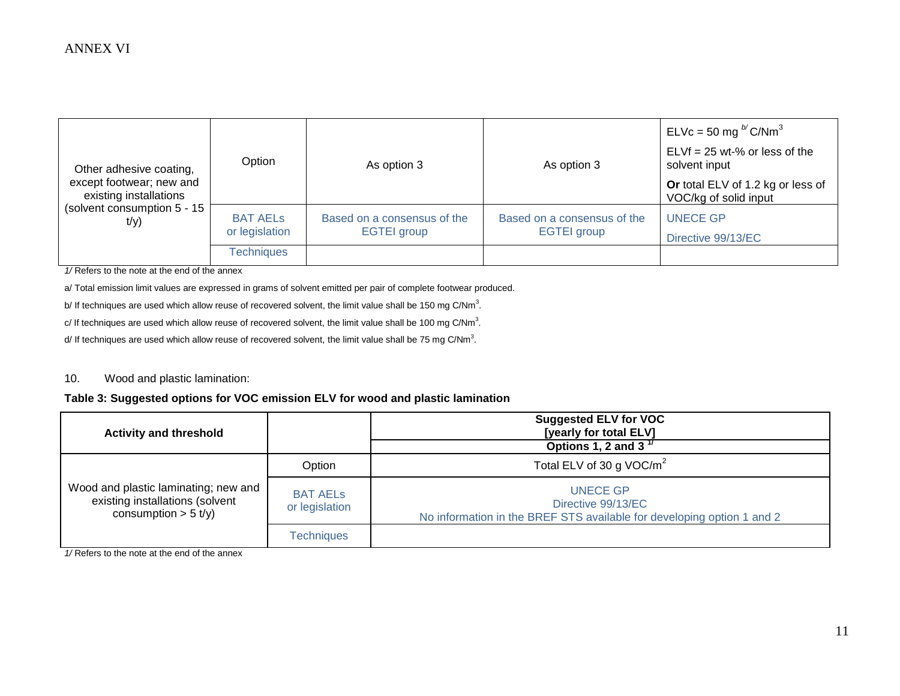| Other adhesive coating,<br>except footwear; new and<br>existing installations<br>(solvent consumption 5 - 15<br>t/y) | Option                            | As option 3                                       | As option 3                                       | ELVc = 50 mg $^{b}$ C/Nm <sup>3</sup><br>$ELVf = 25 wt-S$ or less of the<br>solvent input |
|----------------------------------------------------------------------------------------------------------------------|-----------------------------------|---------------------------------------------------|---------------------------------------------------|-------------------------------------------------------------------------------------------|
|                                                                                                                      |                                   |                                                   |                                                   | Or total ELV of 1.2 kg or less of<br>VOC/kg of solid input                                |
|                                                                                                                      | <b>BAT AELS</b><br>or legislation | Based on a consensus of the<br><b>EGTEI</b> group | Based on a consensus of the<br><b>EGTEI</b> group | <b>UNECE GP</b>                                                                           |
|                                                                                                                      | <b>Techniques</b>                 |                                                   |                                                   | Directive 99/13/EC                                                                        |

*1/* Refers to the note at the end of the annex

a/ Total emission limit values are expressed in grams of solvent emitted per pair of complete footwear produced.

b/ If techniques are used which allow reuse of recovered solvent, the limit value shall be 150 mg C/Nm<sup>3</sup>.

c/ If techniques are used which allow reuse of recovered solvent, the limit value shall be 100 mg C/Nm<sup>3</sup>.

d/ If techniques are used which allow reuse of recovered solvent, the limit value shall be 75 mg C/Nm<sup>3</sup>.

#### 10. Wood and plastic lamination:

#### **Table 3: Suggested options for VOC emission ELV for wood and plastic lamination**

| <b>Activity and threshold</b>                                                                     |                                   | <b>Suggested ELV for VOC</b><br>[yearly for total ELV]                                                   |
|---------------------------------------------------------------------------------------------------|-----------------------------------|----------------------------------------------------------------------------------------------------------|
|                                                                                                   |                                   | Options 1, 2 and 3 $17$                                                                                  |
|                                                                                                   | Option                            | Total ELV of 30 g VOC/ $m^2$                                                                             |
| Wood and plastic laminating; new and<br>existing installations (solvent<br>consumption $> 5$ t/y) | <b>BAT AELS</b><br>or legislation | UNECE GP<br>Directive 99/13/EC<br>No information in the BREF STS available for developing option 1 and 2 |
|                                                                                                   | <b>Techniques</b>                 |                                                                                                          |

*1/* Refers to the note at the end of the annex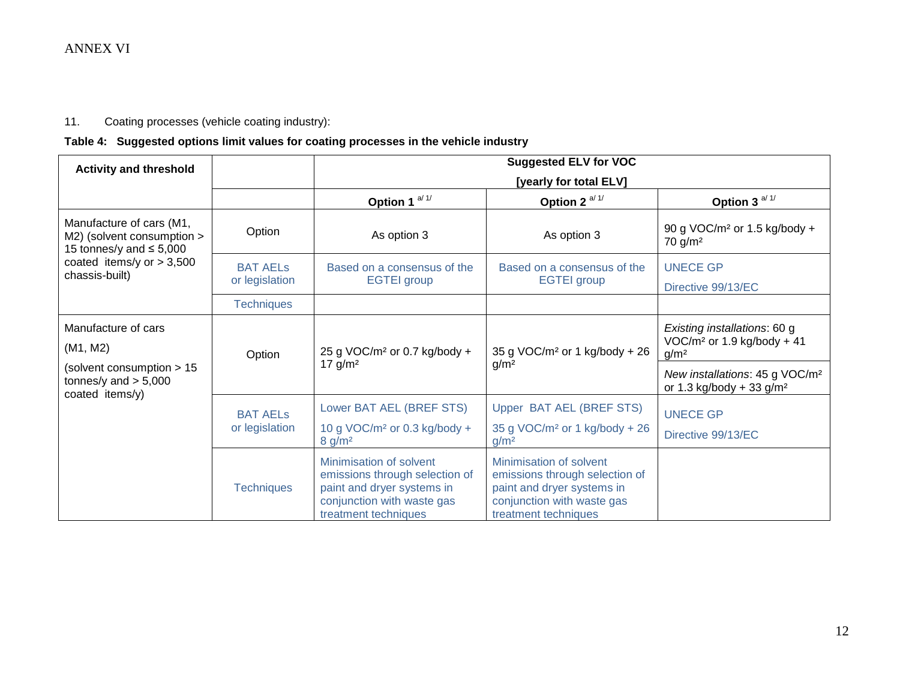# 11. Coating processes (vehicle coating industry):

# **Table 4: Suggested options limit values for coating processes in the vehicle industry**

| <b>Activity and threshold</b>                                                          |                                   |                                                                                                                                               | <b>Suggested ELV for VOC</b>                                                                                                                  |                                                                                    |  |  |
|----------------------------------------------------------------------------------------|-----------------------------------|-----------------------------------------------------------------------------------------------------------------------------------------------|-----------------------------------------------------------------------------------------------------------------------------------------------|------------------------------------------------------------------------------------|--|--|
|                                                                                        |                                   | [yearly for total ELV]                                                                                                                        |                                                                                                                                               |                                                                                    |  |  |
|                                                                                        |                                   | Option 1 $a/1/$                                                                                                                               | Option 2 $a/1/$                                                                                                                               | Option 3 $a/1/$                                                                    |  |  |
| Manufacture of cars (M1,<br>M2) (solvent consumption ><br>15 tonnes/y and $\leq$ 5,000 | Option                            | As option 3                                                                                                                                   | As option 3                                                                                                                                   | 90 g VOC/m <sup>2</sup> or 1.5 kg/body +<br>$70$ g/m <sup>2</sup>                  |  |  |
| coated items/y or $> 3,500$<br>chassis-built)                                          | <b>BAT AELS</b>                   | Based on a consensus of the                                                                                                                   | Based on a consensus of the                                                                                                                   | <b>UNECE GP</b>                                                                    |  |  |
|                                                                                        | or legislation                    | <b>EGTEI</b> group                                                                                                                            | <b>EGTEI</b> group                                                                                                                            | Directive 99/13/EC                                                                 |  |  |
|                                                                                        | <b>Techniques</b>                 |                                                                                                                                               |                                                                                                                                               |                                                                                    |  |  |
| Manufacture of cars<br>(M1, M2)                                                        |                                   |                                                                                                                                               | 35 g VOC/m <sup>2</sup> or 1 kg/body + 26                                                                                                     | Existing installations: 60 g<br>VOC/ $m^2$ or 1.9 kg/body + 41                     |  |  |
|                                                                                        | Option                            | 25 g VOC/m <sup>2</sup> or 0.7 kg/body +<br>17 $g/m^2$                                                                                        | g/m <sup>2</sup>                                                                                                                              | g/m <sup>2</sup>                                                                   |  |  |
| (solvent consumption > 15<br>tonnes/y and $> 5,000$<br>coated items/y)                 |                                   |                                                                                                                                               |                                                                                                                                               | New installations: 45 g VOC/m <sup>2</sup><br>or 1.3 kg/body + 33 g/m <sup>2</sup> |  |  |
|                                                                                        | <b>BAT AELS</b><br>or legislation | Lower BAT AEL (BREF STS)                                                                                                                      | Upper BAT AEL (BREF STS)                                                                                                                      | <b>UNECE GP</b>                                                                    |  |  |
|                                                                                        |                                   | 10 g VOC/m <sup>2</sup> or 0.3 kg/body +<br>8 g/m <sup>2</sup>                                                                                | 35 g VOC/m <sup>2</sup> or 1 kg/body + 26<br>g/m <sup>2</sup>                                                                                 | Directive 99/13/EC                                                                 |  |  |
|                                                                                        | <b>Techniques</b>                 | Minimisation of solvent<br>emissions through selection of<br>paint and dryer systems in<br>conjunction with waste gas<br>treatment techniques | Minimisation of solvent<br>emissions through selection of<br>paint and dryer systems in<br>conjunction with waste gas<br>treatment techniques |                                                                                    |  |  |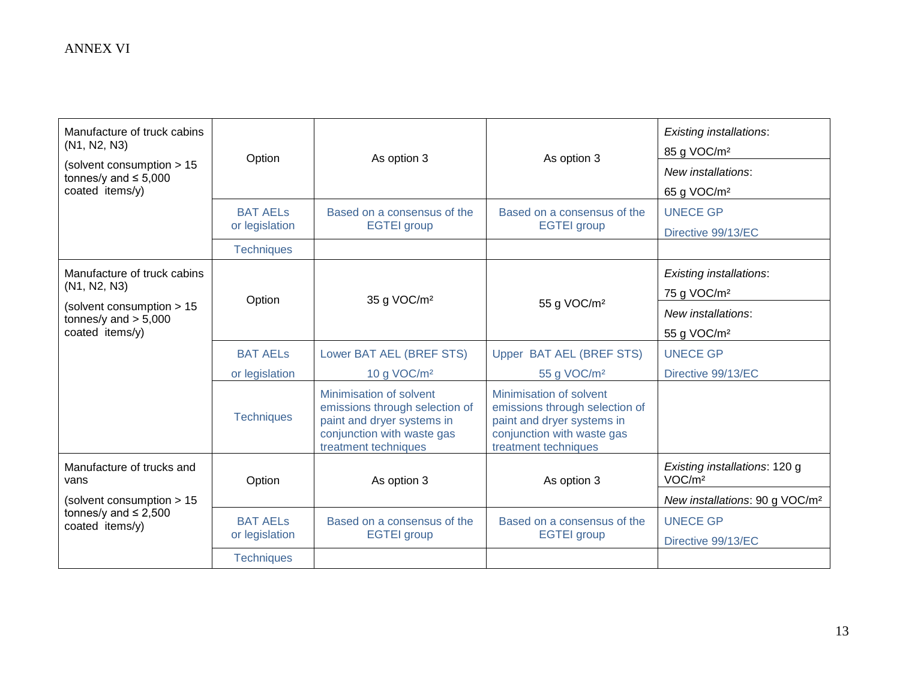| Manufacture of truck cabins<br>(N <sub>1</sub> , N <sub>2</sub> , N <sub>3</sub> ) | Option                            | As option 3                                                                                                                                   | As option 3                                                                                                                                   | <b>Existing installations:</b><br>85 g VOC/m <sup>2</sup> |
|------------------------------------------------------------------------------------|-----------------------------------|-----------------------------------------------------------------------------------------------------------------------------------------------|-----------------------------------------------------------------------------------------------------------------------------------------------|-----------------------------------------------------------|
| (solvent consumption > 15<br>tonnes/y and $\leq 5,000$<br>coated items/y)          |                                   |                                                                                                                                               |                                                                                                                                               | New installations:<br>65 g VOC/m <sup>2</sup>             |
|                                                                                    | <b>BAT AELS</b><br>or legislation | Based on a consensus of the<br><b>EGTEI</b> group                                                                                             | Based on a consensus of the<br><b>EGTEI</b> group                                                                                             | <b>UNECE GP</b><br>Directive 99/13/EC                     |
|                                                                                    | <b>Techniques</b>                 |                                                                                                                                               |                                                                                                                                               |                                                           |
| Manufacture of truck cabins<br>(N1, N2, N3)                                        |                                   |                                                                                                                                               |                                                                                                                                               | <b>Existing installations:</b><br>75 g VOC/m <sup>2</sup> |
| (solvent consumption > 15<br>tonnes/y and $> 5,000$<br>coated items/y)             | Option                            | 35 g VOC/m <sup>2</sup>                                                                                                                       | 55 g VOC/m <sup>2</sup>                                                                                                                       | New installations:<br>55 g VOC/m <sup>2</sup>             |
|                                                                                    | <b>BAT AELS</b>                   | Lower BAT AEL (BREF STS)                                                                                                                      | Upper BAT AEL (BREF STS)                                                                                                                      | <b>UNECE GP</b>                                           |
|                                                                                    | or legislation                    | 10 g VOC/m <sup>2</sup>                                                                                                                       | 55 g VOC/m <sup>2</sup>                                                                                                                       | Directive 99/13/EC                                        |
|                                                                                    | <b>Techniques</b>                 | Minimisation of solvent<br>emissions through selection of<br>paint and dryer systems in<br>conjunction with waste gas<br>treatment techniques | Minimisation of solvent<br>emissions through selection of<br>paint and dryer systems in<br>conjunction with waste gas<br>treatment techniques |                                                           |
| Manufacture of trucks and<br>vans                                                  | Option                            | As option 3                                                                                                                                   | As option 3                                                                                                                                   | Existing installations: 120 g<br>VOC/m <sup>2</sup>       |
| (solvent consumption > 15                                                          |                                   |                                                                                                                                               |                                                                                                                                               | New installations: 90 g VOC/m <sup>2</sup>                |
| tonnes/y and $\leq$ 2,500<br>coated items/y)                                       | <b>BAT AELS</b><br>or legislation | Based on a consensus of the<br><b>EGTEI</b> group                                                                                             | Based on a consensus of the<br><b>EGTEI</b> group                                                                                             | <b>UNECE GP</b><br>Directive 99/13/EC                     |
|                                                                                    | <b>Techniques</b>                 |                                                                                                                                               |                                                                                                                                               |                                                           |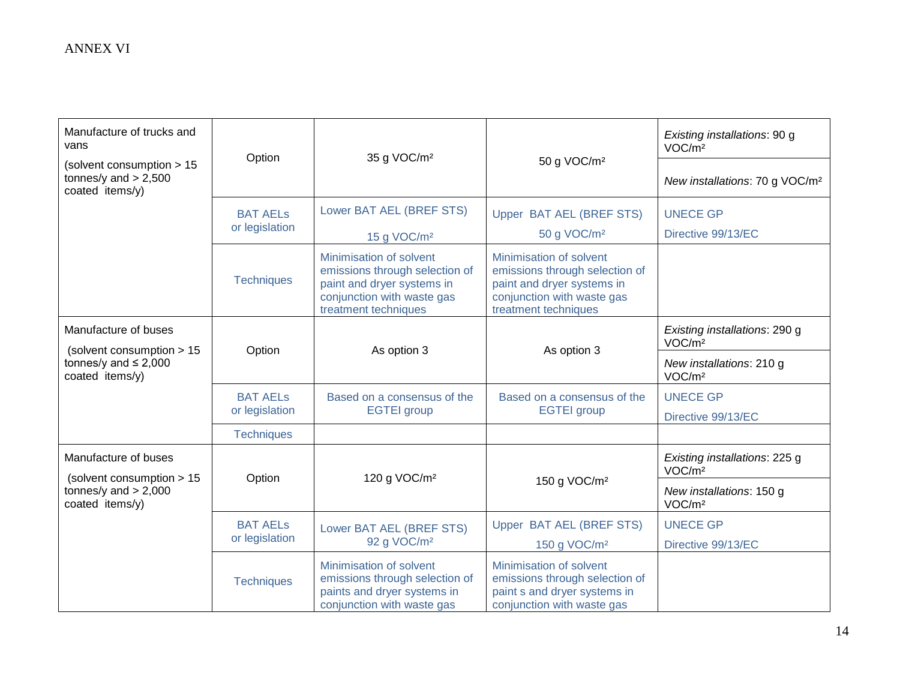| Manufacture of trucks and<br>vans<br>(solvent consumption > 15<br>tonnes/y and $> 2,500$<br>coated items/y) | Option                            | 35 g VOC/m <sup>2</sup>                                                                                                                       | 50 g VOC/m <sup>2</sup>                                                                                                                       | Existing installations: 90 g<br>VOC/m <sup>2</sup><br>New installations: 70 g VOC/m <sup>2</sup> |
|-------------------------------------------------------------------------------------------------------------|-----------------------------------|-----------------------------------------------------------------------------------------------------------------------------------------------|-----------------------------------------------------------------------------------------------------------------------------------------------|--------------------------------------------------------------------------------------------------|
|                                                                                                             | <b>BAT AELS</b><br>or legislation | Lower BAT AEL (BREF STS)<br>15 g VOC/m <sup>2</sup>                                                                                           | Upper BAT AEL (BREF STS)<br>50 g VOC/m <sup>2</sup>                                                                                           | <b>UNECE GP</b><br>Directive 99/13/EC                                                            |
|                                                                                                             | <b>Techniques</b>                 | Minimisation of solvent<br>emissions through selection of<br>paint and dryer systems in<br>conjunction with waste gas<br>treatment techniques | Minimisation of solvent<br>emissions through selection of<br>paint and dryer systems in<br>conjunction with waste gas<br>treatment techniques |                                                                                                  |
| Manufacture of buses                                                                                        |                                   |                                                                                                                                               |                                                                                                                                               | Existing installations: 290 g<br>VOC/m <sup>2</sup>                                              |
| (solvent consumption > 15<br>tonnes/y and $\leq 2,000$<br>coated items/y)                                   | Option                            | As option 3                                                                                                                                   | As option 3                                                                                                                                   | New installations: 210 g<br>VOC/m <sup>2</sup>                                                   |
|                                                                                                             | <b>BAT AELs</b><br>or legislation | Based on a consensus of the<br><b>EGTEI</b> group                                                                                             | Based on a consensus of the<br><b>EGTEI</b> group                                                                                             | <b>UNECE GP</b><br>Directive 99/13/EC                                                            |
|                                                                                                             | <b>Techniques</b>                 |                                                                                                                                               |                                                                                                                                               |                                                                                                  |
| Manufacture of buses                                                                                        |                                   |                                                                                                                                               |                                                                                                                                               | Existing installations: 225 g<br>VOC/m <sup>2</sup>                                              |
| (solvent consumption > 15<br>tonnes/y and $> 2,000$<br>coated items/y)                                      | Option                            | 120 g VOC/m <sup>2</sup>                                                                                                                      | 150 g VOC/m <sup>2</sup>                                                                                                                      | New installations: 150 g<br>VOC/m <sup>2</sup>                                                   |
|                                                                                                             | <b>BAT AELS</b>                   | Lower BAT AEL (BREF STS)                                                                                                                      | Upper BAT AEL (BREF STS)                                                                                                                      | <b>UNECE GP</b>                                                                                  |
|                                                                                                             | or legislation                    | 92 g VOC/m <sup>2</sup>                                                                                                                       | 150 g VOC/m <sup>2</sup>                                                                                                                      | Directive 99/13/EC                                                                               |
|                                                                                                             | <b>Techniques</b>                 | Minimisation of solvent<br>emissions through selection of<br>paints and dryer systems in<br>conjunction with waste gas                        | Minimisation of solvent<br>emissions through selection of<br>paint s and dryer systems in<br>conjunction with waste gas                       |                                                                                                  |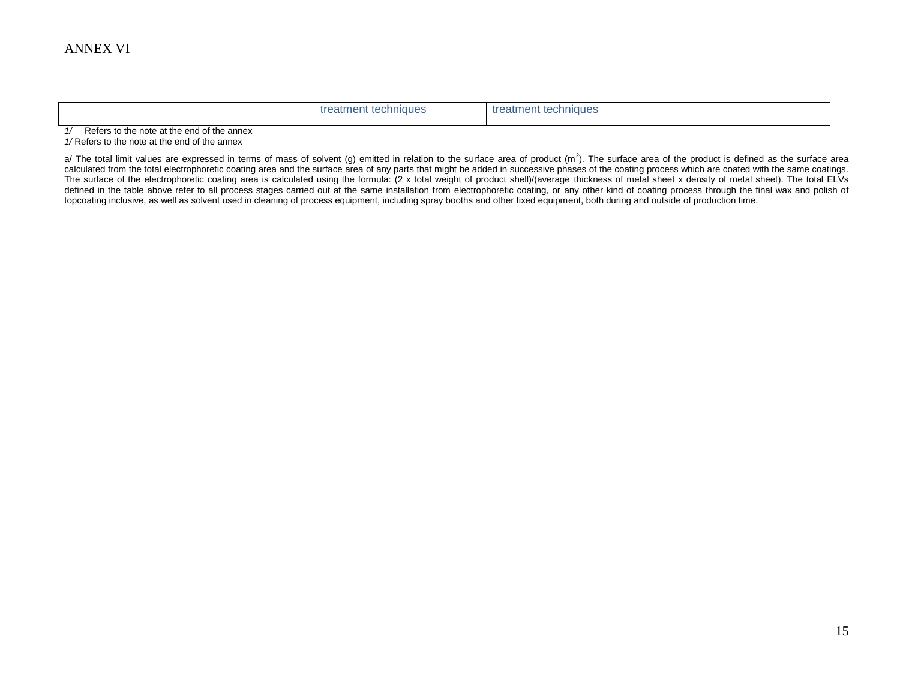|  | techniques *<br>יatm⊦<br>. | treatment techniques |  |
|--|----------------------------|----------------------|--|
|--|----------------------------|----------------------|--|

*1/* Refers to the note at the end of the annex

*1/* Refers to the note at the end of the annex

a/ The total limit values are expressed in terms of mass of solvent (g) emitted in relation to the surface area of product (m<sup>2</sup>). The surface area of the product is defined as the surface area calculated from the total electrophoretic coating area and the surface area of any parts that might be added in successive phases of the coating process which are coated with the same coatings. The surface of the electrophoretic coating area is calculated using the formula: (2 x total weight of product shell)/(average thickness of metal sheet x density of metal sheet). The total ELVs defined in the table above refer to all process stages carried out at the same installation from electrophoretic coating, or any other kind of coating process through the final wax and polish of topcoating inclusive, as well as solvent used in cleaning of process equipment, including spray booths and other fixed equipment, both during and outside of production time.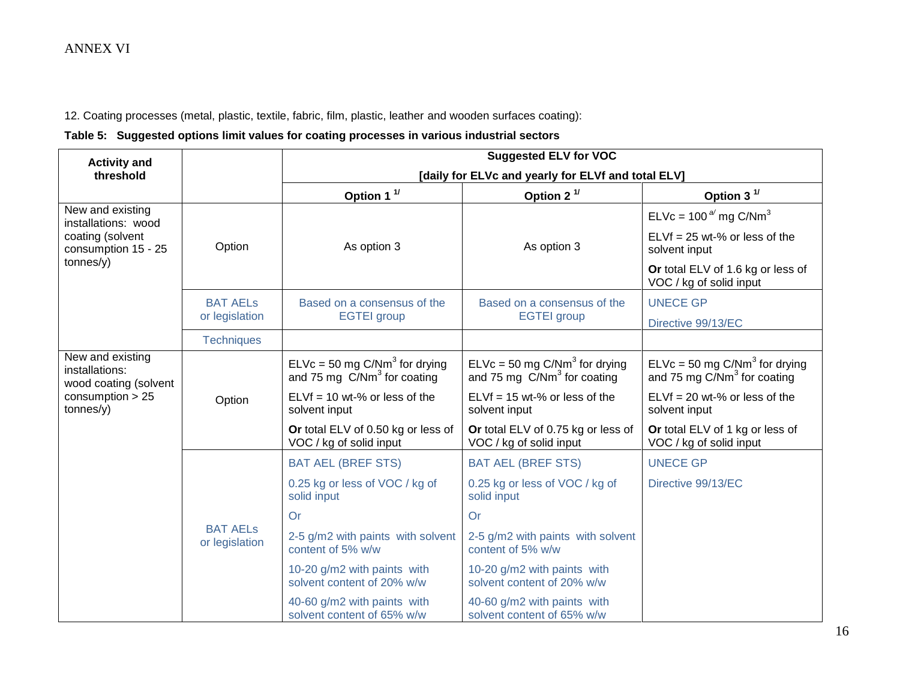12. Coating processes (metal, plastic, textile, fabric, film, plastic, leather and wooden surfaces coating):

## **Table 5: Suggested options limit values for coating processes in various industrial sectors**

| <b>Activity and</b>                                         |                                   |                                                                              | <b>Suggested ELV for VOC</b>                                                 |                                                                              |
|-------------------------------------------------------------|-----------------------------------|------------------------------------------------------------------------------|------------------------------------------------------------------------------|------------------------------------------------------------------------------|
| threshold                                                   |                                   |                                                                              | [daily for ELVc and yearly for ELVf and total ELV]                           |                                                                              |
|                                                             |                                   | Option 1 $1/$                                                                | Option 2 <sup>1/</sup>                                                       | Option 3 $1/$                                                                |
| New and existing<br>installations: wood                     |                                   |                                                                              |                                                                              | ELVc = $100^{a}$ mg C/Nm <sup>3</sup>                                        |
| coating (solvent<br>consumption 15 - 25                     | Option                            | As option 3                                                                  | As option 3                                                                  | $ELVf = 25$ wt-% or less of the<br>solvent input                             |
| tonnes/y)                                                   |                                   |                                                                              |                                                                              | Or total ELV of 1.6 kg or less of<br>VOC / kg of solid input                 |
|                                                             | <b>BAT AELS</b>                   | Based on a consensus of the                                                  | Based on a consensus of the                                                  | <b>UNECE GP</b>                                                              |
|                                                             | or legislation                    | <b>EGTEI</b> group                                                           | <b>EGTEI</b> group                                                           | Directive 99/13/EC                                                           |
|                                                             | <b>Techniques</b>                 |                                                                              |                                                                              |                                                                              |
| New and existing<br>installations:<br>wood coating (solvent |                                   | $ELVc = 50$ mg C/Nm <sup>3</sup> for drying<br>and 75 mg $C/Nm3$ for coating | $ELVc = 50$ mg C/Nm <sup>3</sup> for drying<br>and 75 mg $C/Nm3$ for coating | $ELVc = 50$ mg C/Nm <sup>3</sup> for drying<br>and 75 mg $C/Nm3$ for coating |
| consumption $> 25$<br>tonnes/y)                             | Option                            | $ELVf = 10$ wt-% or less of the<br>solvent input                             | $ELVf = 15$ wt-% or less of the<br>solvent input                             | $ELVf = 20$ wt-% or less of the<br>solvent input                             |
|                                                             |                                   | Or total ELV of 0.50 kg or less of<br>VOC / kg of solid input                | Or total ELV of 0.75 kg or less of<br>VOC / kg of solid input                | Or total ELV of 1 kg or less of<br>VOC / kg of solid input                   |
|                                                             |                                   | <b>BAT AEL (BREF STS)</b>                                                    | <b>BAT AEL (BREF STS)</b>                                                    | <b>UNECE GP</b>                                                              |
|                                                             |                                   | 0.25 kg or less of VOC / kg of<br>solid input                                | 0.25 kg or less of VOC / kg of<br>solid input                                | Directive 99/13/EC                                                           |
|                                                             |                                   | Or                                                                           | Or                                                                           |                                                                              |
|                                                             | <b>BAT AELS</b><br>or legislation | 2-5 g/m2 with paints with solvent<br>content of 5% w/w                       | 2-5 g/m2 with paints with solvent<br>content of 5% w/w                       |                                                                              |
|                                                             |                                   | 10-20 g/m2 with paints with<br>solvent content of 20% w/w                    | 10-20 g/m2 with paints with<br>solvent content of 20% w/w                    |                                                                              |
|                                                             |                                   | 40-60 g/m2 with paints with<br>solvent content of 65% w/w                    | 40-60 g/m2 with paints with<br>solvent content of 65% w/w                    |                                                                              |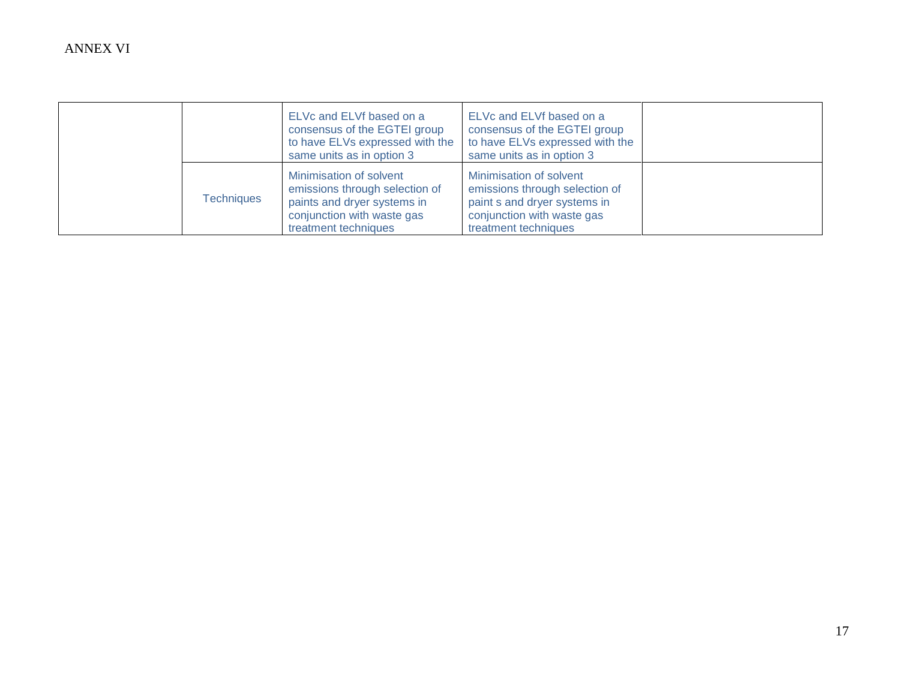|                   | ELVc and ELVf based on a<br>consensus of the EGTEI group<br>to have ELVs expressed with the<br>same units as in option 3                       | ELVc and ELVf based on a<br>consensus of the EGTEI group<br>to have ELVs expressed with the<br>same units as in option 3                        |  |
|-------------------|------------------------------------------------------------------------------------------------------------------------------------------------|-------------------------------------------------------------------------------------------------------------------------------------------------|--|
| <b>Techniques</b> | Minimisation of solvent<br>emissions through selection of<br>paints and dryer systems in<br>conjunction with waste gas<br>treatment techniques | Minimisation of solvent<br>emissions through selection of<br>paint s and dryer systems in<br>conjunction with waste gas<br>treatment techniques |  |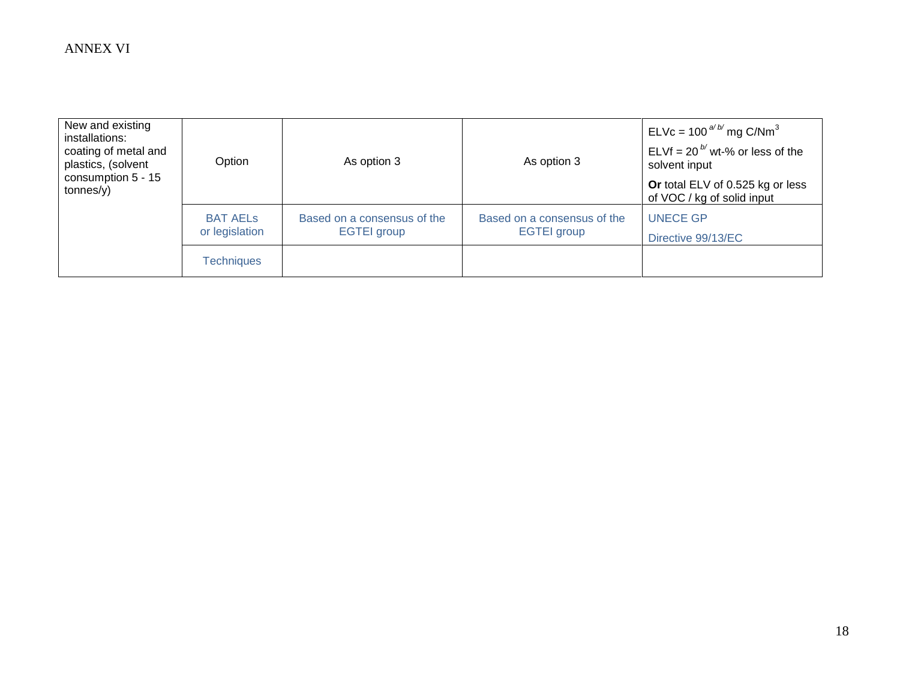| New and existing<br>installations:<br>coating of metal and<br>plastics, (solvent<br>consumption 5 - 15<br>tonnes(y) | Option                            | As option 3                                       | As option 3                                       | ELVc = $100^{a/b/m}$ g C/Nm <sup>3</sup><br>ELVf = 20 <sup><math>b'</math></sup> wt-% or less of the<br>solvent input<br>Or total ELV of 0.525 kg or less<br>of VOC / kg of solid input |
|---------------------------------------------------------------------------------------------------------------------|-----------------------------------|---------------------------------------------------|---------------------------------------------------|-----------------------------------------------------------------------------------------------------------------------------------------------------------------------------------------|
|                                                                                                                     | <b>BAT AELS</b><br>or legislation | Based on a consensus of the<br><b>EGTEI</b> group | Based on a consensus of the<br><b>EGTEI</b> group | <b>UNECE GP</b><br>Directive 99/13/EC                                                                                                                                                   |
|                                                                                                                     | <b>Techniques</b>                 |                                                   |                                                   |                                                                                                                                                                                         |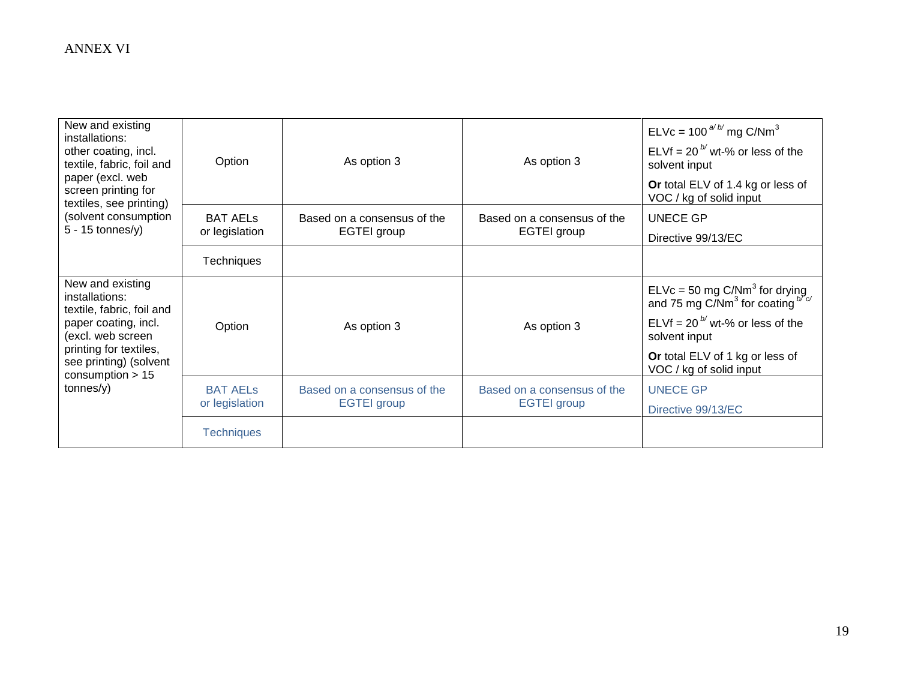| New and existing<br>installations:<br>other coating, incl.<br>textile, fabric, foil and<br>paper (excl. web<br>screen printing for | Option            | As option 3                 | As option 3                 | ELVc = $100^{a/b/m}$ g C/Nm <sup>3</sup><br>ELVf = 20 <sup><math>b'</math></sup> wt-% or less of the<br>solvent input<br>Or total ELV of 1.4 kg or less of<br>VOC / kg of solid input |
|------------------------------------------------------------------------------------------------------------------------------------|-------------------|-----------------------------|-----------------------------|---------------------------------------------------------------------------------------------------------------------------------------------------------------------------------------|
| textiles, see printing)<br>(solvent consumption                                                                                    | <b>BAT AELS</b>   | Based on a consensus of the | Based on a consensus of the | <b>UNECE GP</b>                                                                                                                                                                       |
| $5 - 15$ tonnes/y)                                                                                                                 | or legislation    | EGTEI group                 | EGTEI group                 | Directive 99/13/EC                                                                                                                                                                    |
|                                                                                                                                    | <b>Techniques</b> |                             |                             |                                                                                                                                                                                       |
| New and existing<br>installations:<br>textile, fabric, foil and                                                                    |                   |                             |                             | ELVc = 50 mg C/Nm <sup>3</sup> for drying<br>and 75 mg C/Nm <sup>3</sup> for coating $b^{N_C}$                                                                                        |
| paper coating, incl.<br>(excl. web screen                                                                                          | Option            | As option 3                 | As option 3                 | ELVf = 20 <sup>b/</sup> wt-% or less of the<br>solvent input                                                                                                                          |
| printing for textiles,<br>see printing) (solvent<br>consumption $> 15$                                                             |                   |                             |                             | Or total ELV of 1 kg or less of<br>VOC / kg of solid input                                                                                                                            |
| tonnes/y)                                                                                                                          | <b>BAT AELS</b>   | Based on a consensus of the | Based on a consensus of the | <b>UNECE GP</b>                                                                                                                                                                       |
|                                                                                                                                    | or legislation    | <b>EGTEI</b> group          | <b>EGTEI</b> group          | Directive 99/13/EC                                                                                                                                                                    |
|                                                                                                                                    | <b>Techniques</b> |                             |                             |                                                                                                                                                                                       |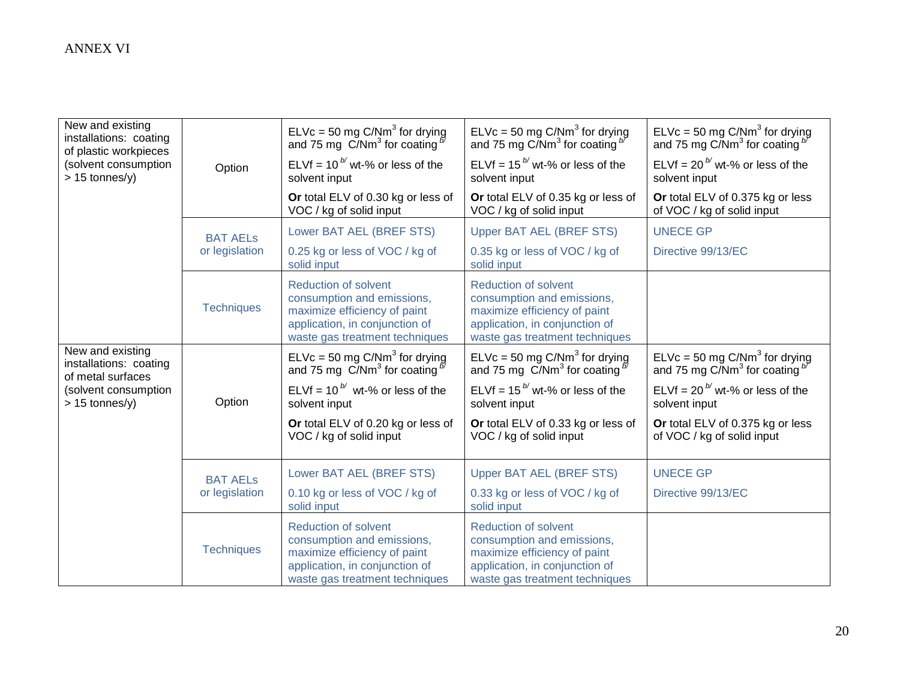| New and existing<br>installations: coating<br>of plastic workpieces |                   | ELVc = 50 mg C/Nm <sup>3</sup> for drying<br>and 75 mg C/Nm <sup>3</sup> for coating $\frac{b}{c}$                                                            | ELVc = 50 mg C/Nm <sup>3</sup> for drying<br>and 75 mg C/Nm <sup>3</sup> for coating $b^b$                                                                    | ELVc = 50 mg C/Nm <sup>3</sup> for drying<br>and 75 mg C/Nm <sup>3</sup> for coating $b^{\prime\prime}$ |
|---------------------------------------------------------------------|-------------------|---------------------------------------------------------------------------------------------------------------------------------------------------------------|---------------------------------------------------------------------------------------------------------------------------------------------------------------|---------------------------------------------------------------------------------------------------------|
| (solvent consumption<br>$> 15$ tonnes/y)                            | Option            | ELVf = 10 $^{b'}$ wt-% or less of the<br>solvent input                                                                                                        | ELVf = $15^{b}$ wt-% or less of the<br>solvent input                                                                                                          | ELVf = $20^{b}$ wt-% or less of the<br>solvent input                                                    |
|                                                                     |                   | Or total ELV of 0.30 kg or less of<br>VOC / kg of solid input                                                                                                 | Or total ELV of 0.35 kg or less of<br>VOC / kg of solid input                                                                                                 | Or total ELV of 0.375 kg or less<br>of VOC / kg of solid input                                          |
|                                                                     | <b>BAT AELs</b>   | Lower BAT AEL (BREF STS)                                                                                                                                      | <b>Upper BAT AEL (BREF STS)</b>                                                                                                                               | <b>UNECE GP</b>                                                                                         |
|                                                                     | or legislation    | 0.25 kg or less of VOC / kg of<br>solid input                                                                                                                 | 0.35 kg or less of VOC / kg of<br>solid input                                                                                                                 | Directive 99/13/EC                                                                                      |
|                                                                     | <b>Techniques</b> | <b>Reduction of solvent</b><br>consumption and emissions,<br>maximize efficiency of paint<br>application, in conjunction of<br>waste gas treatment techniques | <b>Reduction of solvent</b><br>consumption and emissions,<br>maximize efficiency of paint<br>application, in conjunction of<br>waste gas treatment techniques |                                                                                                         |
| New and existing<br>installations: coating<br>of metal surfaces     |                   | ELVc = 50 mg C/Nm <sup>3</sup> for drying<br>and 75 mg $\frac{C}{Nm^3}$ for coating $\frac{b}{a}$                                                             | ELVc = 50 mg C/Nm <sup>3</sup> for drying<br>and 75 mg $\ddot{\text{C}}$ /Nm <sup>3</sup> for coating $\frac{5}{2}$                                           | $ELVc = 50$ mg $C/Nm3$ for drying<br>and 75 mg $C/Nm3$ for coating $b$                                  |
| (solvent consumption<br>$> 15$ tonnes/y)                            | Option            | ELVf = $10^{b'}$ wt-% or less of the<br>solvent input                                                                                                         | ELVf = $15^{b}$ wt-% or less of the<br>solvent input                                                                                                          | ELVf = 20 $^{b'}$ wt-% or less of the<br>solvent input                                                  |
|                                                                     |                   | Or total ELV of 0.20 kg or less of<br>VOC / kg of solid input                                                                                                 | Or total ELV of 0.33 kg or less of<br>VOC / kg of solid input                                                                                                 | Or total ELV of 0.375 kg or less<br>of VOC / kg of solid input                                          |
|                                                                     | <b>BAT AELs</b>   | Lower BAT AEL (BREF STS)                                                                                                                                      | <b>Upper BAT AEL (BREF STS)</b>                                                                                                                               | <b>UNECE GP</b>                                                                                         |
|                                                                     | or legislation    | 0.10 kg or less of VOC / kg of<br>solid input                                                                                                                 | 0.33 kg or less of VOC / kg of<br>solid input                                                                                                                 | Directive 99/13/EC                                                                                      |
|                                                                     | <b>Techniques</b> | <b>Reduction of solvent</b><br>consumption and emissions,<br>maximize efficiency of paint<br>application, in conjunction of<br>waste gas treatment techniques | <b>Reduction of solvent</b><br>consumption and emissions,<br>maximize efficiency of paint<br>application, in conjunction of<br>waste gas treatment techniques |                                                                                                         |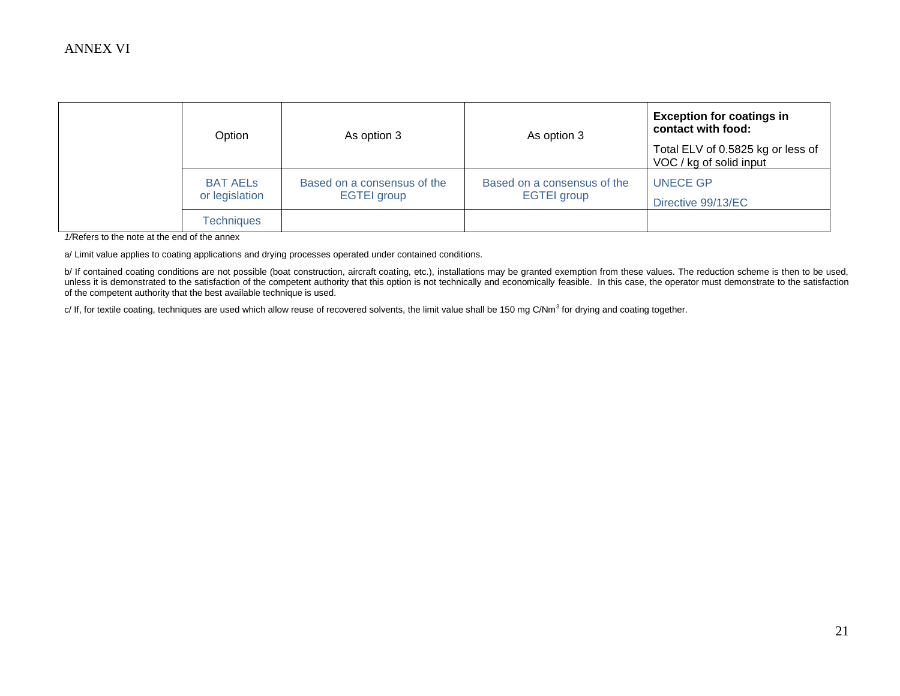| Option                            | As option 3                                       | As option 3                                       | <b>Exception for coatings in</b><br>contact with food:       |
|-----------------------------------|---------------------------------------------------|---------------------------------------------------|--------------------------------------------------------------|
|                                   |                                                   |                                                   | Total ELV of 0.5825 kg or less of<br>VOC / kg of solid input |
| <b>BAT AELS</b><br>or legislation | Based on a consensus of the<br><b>EGTEI</b> group | Based on a consensus of the<br><b>EGTEI</b> group | <b>UNECE GP</b><br>Directive 99/13/EC                        |
| <b>Techniques</b>                 |                                                   |                                                   |                                                              |

*1/*Refers to the note at the end of the annex

a/ Limit value applies to coating applications and drying processes operated under contained conditions.

b/ If contained coating conditions are not possible (boat construction, aircraft coating, etc.), installations may be granted exemption from these values. The reduction scheme is then to be used, unless it is demonstrated to the satisfaction of the competent authority that this option is not technically and economically feasible. In this case, the operator must demonstrate to the satisfaction of the competent authority that the best available technique is used.

c/ If, for textile coating, techniques are used which allow reuse of recovered solvents, the limit value shall be 150 mg C/Nm<sup>3</sup> for drying and coating together.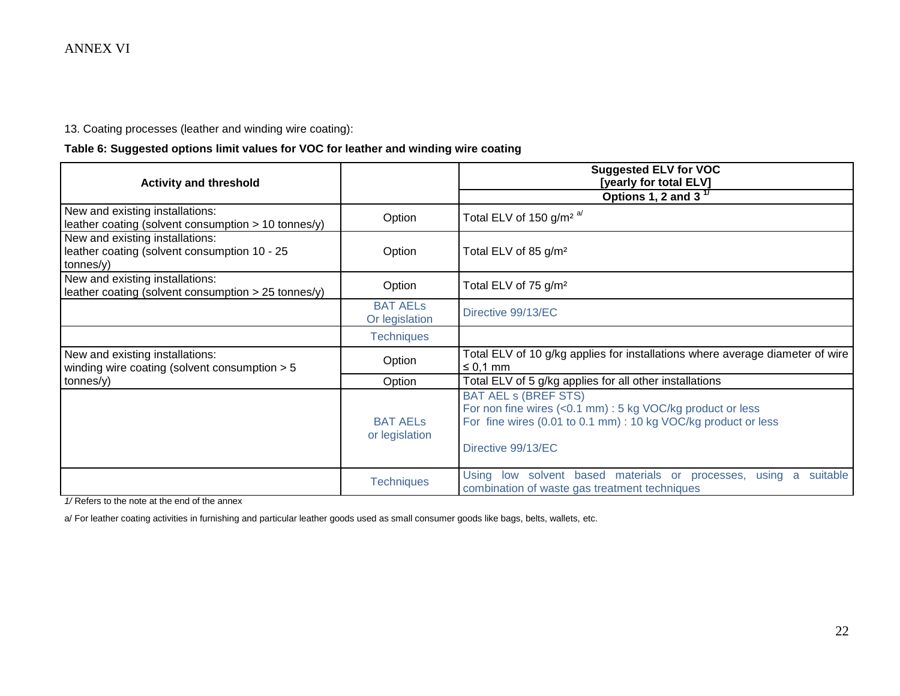13. Coating processes (leather and winding wire coating):

### **Table 6: Suggested options limit values for VOC for leather and winding wire coating**

| <b>Activity and threshold</b>                                                                |                                   | <b>Suggested ELV for VOC</b><br>[yearly for total ELV]                                                                                                                            |
|----------------------------------------------------------------------------------------------|-----------------------------------|-----------------------------------------------------------------------------------------------------------------------------------------------------------------------------------|
|                                                                                              |                                   | Options 1, 2 and 3 $17$                                                                                                                                                           |
| New and existing installations:<br>leather coating (solvent consumption > 10 tonnes/y)       | Option                            | Total ELV of 150 g/m <sup>2 a/</sup>                                                                                                                                              |
| New and existing installations:<br>leather coating (solvent consumption 10 - 25<br>tonnes/y) | Option                            | Total ELV of 85 g/m <sup>2</sup>                                                                                                                                                  |
| New and existing installations:<br>leather coating (solvent consumption > 25 tonnes/y)       | Option                            | Total ELV of 75 g/m <sup>2</sup>                                                                                                                                                  |
|                                                                                              | <b>BAT AELS</b><br>Or legislation | Directive 99/13/EC                                                                                                                                                                |
|                                                                                              | <b>Techniques</b>                 |                                                                                                                                                                                   |
| New and existing installations:<br>winding wire coating (solvent consumption $> 5$           | Option                            | Total ELV of 10 g/kg applies for installations where average diameter of wire<br>$\leq$ 0,1 mm                                                                                    |
| tonnes/y)                                                                                    | Option                            | Total ELV of 5 g/kg applies for all other installations                                                                                                                           |
|                                                                                              | <b>BAT AELS</b><br>or legislation | <b>BAT AEL s (BREF STS)</b><br>For non fine wires (<0.1 mm) : 5 kg VOC/kg product or less<br>For fine wires (0.01 to 0.1 mm) : 10 kg VOC/kg product or less<br>Directive 99/13/EC |
|                                                                                              | <b>Techniques</b>                 | Using low solvent based materials or processes, using a<br>suitable<br>combination of waste gas treatment techniques                                                              |

*1/* Refers to the note at the end of the annex

a/ For leather coating activities in furnishing and particular leather goods used as small consumer goods like bags, belts, wallets, etc.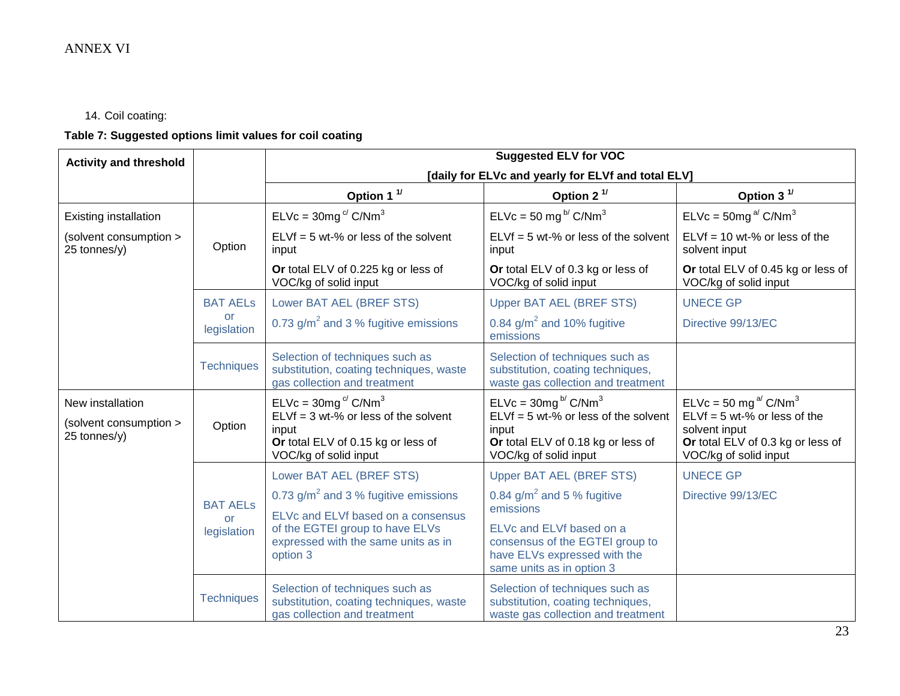# 14. Coil coating:

# **Table 7: Suggested options limit values for coil coating**

| <b>Activity and threshold</b>                              | <b>Suggested ELV for VOC</b>                |                                                                                                                                                                                     |                                                                                                                                              |                                                                                                                                                                 |
|------------------------------------------------------------|---------------------------------------------|-------------------------------------------------------------------------------------------------------------------------------------------------------------------------------------|----------------------------------------------------------------------------------------------------------------------------------------------|-----------------------------------------------------------------------------------------------------------------------------------------------------------------|
|                                                            |                                             |                                                                                                                                                                                     | [daily for ELVc and yearly for ELVf and total ELV]                                                                                           |                                                                                                                                                                 |
|                                                            |                                             | Option 1 $1/$                                                                                                                                                                       | Option 2 $1/$                                                                                                                                | Option 3 $1/$                                                                                                                                                   |
| <b>Existing installation</b>                               |                                             | $ELVc = 30mg^c/C/Nm^3$                                                                                                                                                              | $ELVc = 50$ mg <sup>b/</sup> C/Nm <sup>3</sup>                                                                                               | $ELVc = 50mg^{a/} C/Nm^3$                                                                                                                                       |
| (solvent consumption ><br>25 tonnes/y)                     | Option                                      | $ELVf = 5 wt-% or less of the solvent$<br>input                                                                                                                                     | $ELVf = 5 wt-% or less of the solvent$<br>input                                                                                              | $ELVf = 10$ wt-% or less of the<br>solvent input                                                                                                                |
|                                                            |                                             | Or total ELV of 0.225 kg or less of<br>VOC/kg of solid input                                                                                                                        | Or total ELV of 0.3 kg or less of<br>VOC/kg of solid input                                                                                   | Or total ELV of 0.45 kg or less of<br>VOC/kg of solid input                                                                                                     |
|                                                            | <b>BAT AELS</b>                             | Lower BAT AEL (BREF STS)                                                                                                                                                            | <b>Upper BAT AEL (BREF STS)</b>                                                                                                              | <b>UNECE GP</b>                                                                                                                                                 |
|                                                            | <b>or</b><br>legislation                    | 0.73 $g/m^2$ and 3 % fugitive emissions                                                                                                                                             | 0.84 $g/m^2$ and 10% fugitive<br>emissions                                                                                                   | Directive 99/13/EC                                                                                                                                              |
|                                                            | <b>Techniques</b>                           | Selection of techniques such as<br>substitution, coating techniques, waste<br>gas collection and treatment                                                                          | Selection of techniques such as<br>substitution, coating techniques,<br>waste gas collection and treatment                                   |                                                                                                                                                                 |
| New installation<br>(solvent consumption ><br>25 tonnes/y) | Option                                      | $ELVc = 30mgc/ C/Nm3$<br>$ELVf = 3 wt-% or less of the solvent$<br>input<br>Or total ELV of 0.15 kg or less of<br>VOC/kg of solid input                                             | $ELVc = 30mg^{b/} C/Nm^3$<br>$ELVf = 5 wt-% or less of the solvent$<br>input<br>Or total ELV of 0.18 kg or less of<br>VOC/kg of solid input  | $ELVc = 50$ mg <sup>a/</sup> C/Nm <sup>3</sup><br>$ELVf = 5 wt-% or less of the$<br>solvent input<br>Or total ELV of 0.3 kg or less of<br>VOC/kg of solid input |
|                                                            | <b>BAT AELS</b><br><b>or</b><br>legislation | Lower BAT AEL (BREF STS)<br>0.73 $g/m^2$ and 3 % fugitive emissions<br>ELVc and ELVf based on a consensus<br>of the EGTEI group to have ELVs<br>expressed with the same units as in | <b>Upper BAT AEL (BREF STS)</b><br>0.84 $g/m^2$ and 5 % fugitive<br>emissions<br>ELVc and ELVf based on a<br>consensus of the EGTEI group to | <b>UNECE GP</b><br>Directive 99/13/EC                                                                                                                           |
|                                                            |                                             | option 3                                                                                                                                                                            | have ELVs expressed with the<br>same units as in option 3                                                                                    |                                                                                                                                                                 |
|                                                            | <b>Techniques</b>                           | Selection of techniques such as<br>substitution, coating techniques, waste<br>gas collection and treatment                                                                          | Selection of techniques such as<br>substitution, coating techniques,<br>waste gas collection and treatment                                   |                                                                                                                                                                 |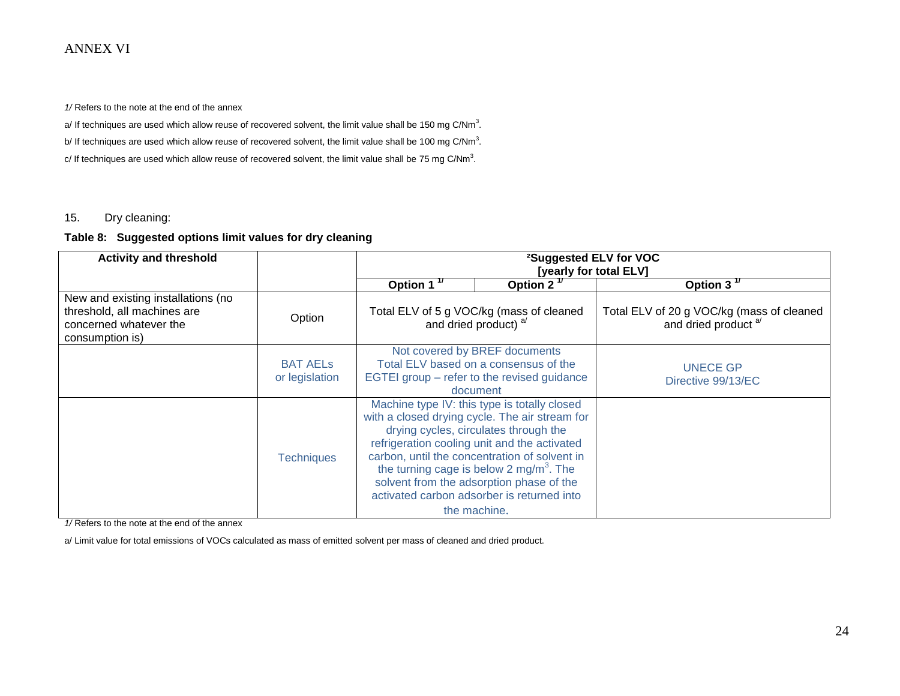*1/* Refers to the note at the end of the annex

a/ If techniques are used which allow reuse of recovered solvent, the limit value shall be 150 mg C/Nm<sup>3</sup>.

b/ If techniques are used which allow reuse of recovered solvent, the limit value shall be 100 mg C/Nm<sup>3</sup>.

c/ If techniques are used which allow reuse of recovered solvent, the limit value shall be 75 mg C/Nm<sup>3</sup>.

#### 15. Dry cleaning:

#### **Table 8: Suggested options limit values for dry cleaning**

| <b>Activity and threshold</b>                                                                                  |                                   | <sup>2</sup> Suggested ELV for VOC<br>[yearly for total ELV]                                                                                                                                                                                                                                                                                                                                              |                                                                   |                                                                              |  |
|----------------------------------------------------------------------------------------------------------------|-----------------------------------|-----------------------------------------------------------------------------------------------------------------------------------------------------------------------------------------------------------------------------------------------------------------------------------------------------------------------------------------------------------------------------------------------------------|-------------------------------------------------------------------|------------------------------------------------------------------------------|--|
|                                                                                                                |                                   | Option 1 $1$                                                                                                                                                                                                                                                                                                                                                                                              | Option $2^{\frac{1}{2}}$                                          | Option $3^{\frac{1}{1}}$                                                     |  |
| New and existing installations (no<br>threshold, all machines are<br>concerned whatever the<br>consumption is) | Option                            |                                                                                                                                                                                                                                                                                                                                                                                                           | Total ELV of 5 g VOC/kg (mass of cleaned<br>and dried product) a/ | Total ELV of 20 g VOC/kg (mass of cleaned<br>and dried product <sup>a/</sup> |  |
|                                                                                                                | <b>BAT AELS</b><br>or legislation | Not covered by BREF documents<br>Total ELV based on a consensus of the<br>EGTEI group – refer to the revised guidance<br>document                                                                                                                                                                                                                                                                         |                                                                   | <b>UNECE GP</b><br>Directive 99/13/EC                                        |  |
|                                                                                                                | <b>Techniques</b>                 | Machine type IV: this type is totally closed<br>with a closed drying cycle. The air stream for<br>drying cycles, circulates through the<br>refrigeration cooling unit and the activated<br>carbon, until the concentration of solvent in<br>the turning cage is below 2 mg/m <sup>3</sup> . The<br>solvent from the adsorption phase of the<br>activated carbon adsorber is returned into<br>the machine. |                                                                   |                                                                              |  |

*1/* Refers to the note at the end of the annex

a/ Limit value for total emissions of VOCs calculated as mass of emitted solvent per mass of cleaned and dried product.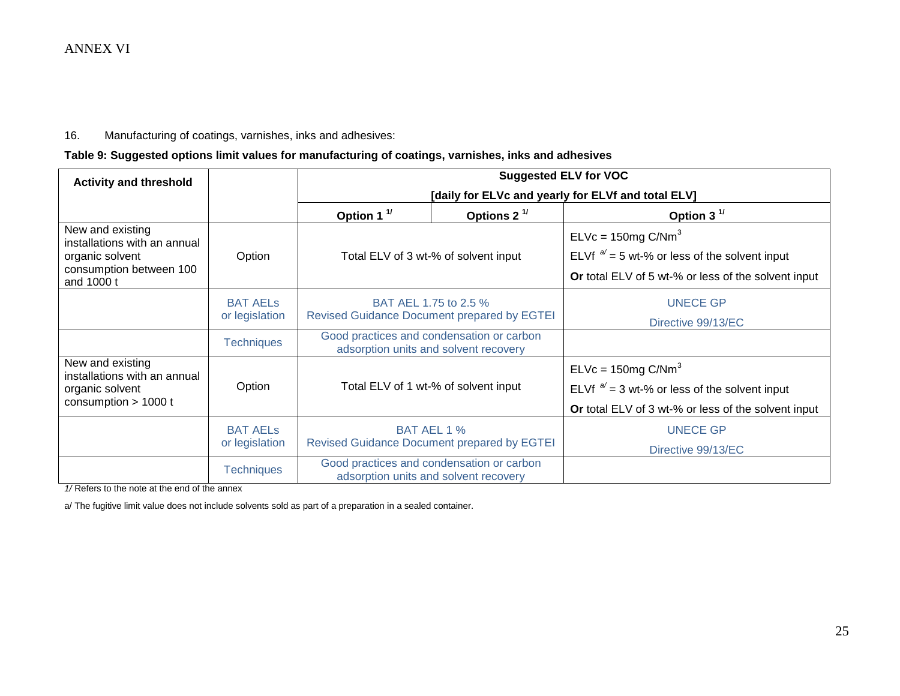#### 16. Manufacturing of coatings, varnishes, inks and adhesives:

## **Table 9: Suggested options limit values for manufacturing of coatings, varnishes, inks and adhesives**

| <b>Activity and threshold</b>                                                                                |                                   | <b>Suggested ELV for VOC</b>                                                       |                                                                                    |                                                                                                                                 |  |  |  |
|--------------------------------------------------------------------------------------------------------------|-----------------------------------|------------------------------------------------------------------------------------|------------------------------------------------------------------------------------|---------------------------------------------------------------------------------------------------------------------------------|--|--|--|
|                                                                                                              |                                   |                                                                                    |                                                                                    | [daily for ELVc and yearly for ELVf and total ELV]                                                                              |  |  |  |
|                                                                                                              |                                   | Option 1 $1$                                                                       | Options $2^{1/2}$                                                                  | Option 3 $1/$                                                                                                                   |  |  |  |
| New and existing<br>installations with an annual<br>organic solvent<br>consumption between 100<br>and 1000 t | Option                            | Total ELV of 3 wt-% of solvent input                                               |                                                                                    | $ELVc = 150mg C/Nm3$<br>ELVf $a/2$ = 5 wt-% or less of the solvent input<br>Or total ELV of 5 wt-% or less of the solvent input |  |  |  |
|                                                                                                              | <b>BAT AELS</b><br>or legislation | BAT AEL 1.75 to 2.5 %<br><b>Revised Guidance Document prepared by EGTEI</b>        |                                                                                    | <b>UNECE GP</b><br>Directive 99/13/EC                                                                                           |  |  |  |
|                                                                                                              | <b>Techniques</b>                 | Good practices and condensation or carbon<br>adsorption units and solvent recovery |                                                                                    |                                                                                                                                 |  |  |  |
| New and existing<br>installations with an annual<br>organic solvent<br>consumption $> 1000$ t                | Option                            | Total ELV of 1 wt-% of solvent input                                               |                                                                                    | $ELVc = 150mg C/Nm3$<br>ELVf $a/2$ = 3 wt-% or less of the solvent input<br>Or total ELV of 3 wt-% or less of the solvent input |  |  |  |
|                                                                                                              | <b>BAT AELS</b><br>or legislation |                                                                                    | BAT AEL 1 %<br><b>Revised Guidance Document prepared by EGTEI</b>                  | <b>UNECE GP</b><br>Directive 99/13/EC                                                                                           |  |  |  |
|                                                                                                              | <b>Techniques</b>                 |                                                                                    | Good practices and condensation or carbon<br>adsorption units and solvent recovery |                                                                                                                                 |  |  |  |

*1/* Refers to the note at the end of the annex

a/ The fugitive limit value does not include solvents sold as part of a preparation in a sealed container.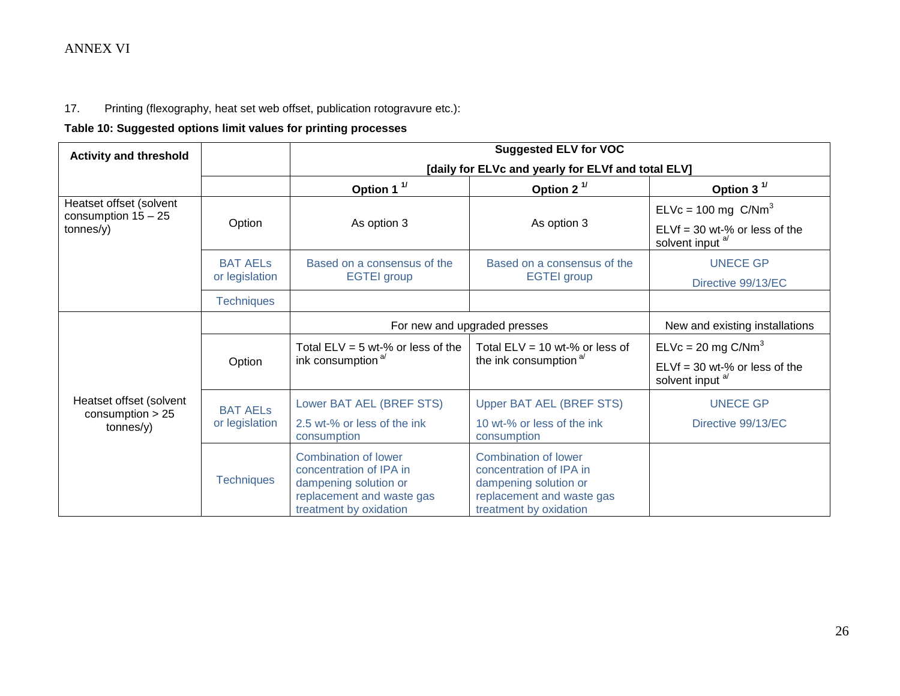# 17. Printing (flexography, heat set web offset, publication rotogravure etc.):

## **Table 10: Suggested options limit values for printing processes**

| <b>Activity and threshold</b>                    |                   | <b>Suggested ELV for VOC</b>                                                                                                    |                                                                                                                                        |                                                                |  |
|--------------------------------------------------|-------------------|---------------------------------------------------------------------------------------------------------------------------------|----------------------------------------------------------------------------------------------------------------------------------------|----------------------------------------------------------------|--|
|                                                  |                   |                                                                                                                                 | [daily for ELVc and yearly for ELVf and total ELV]                                                                                     |                                                                |  |
|                                                  |                   | Option 1 <sup>1/</sup>                                                                                                          | Option 2 $1/$                                                                                                                          | Option 3 $1$                                                   |  |
| Heatset offset (solvent<br>consumption $15 - 25$ | Option            | As option 3                                                                                                                     | As option 3                                                                                                                            | ELVc = 100 mg $C/Nm3$                                          |  |
| tonnes(y)                                        |                   |                                                                                                                                 |                                                                                                                                        | $ELVf = 30$ wt-% or less of the<br>solvent input <sup>a/</sup> |  |
|                                                  | <b>BAT AELS</b>   | Based on a consensus of the                                                                                                     | Based on a consensus of the                                                                                                            | <b>UNECE GP</b>                                                |  |
|                                                  | or legislation    | <b>EGTEI</b> group                                                                                                              | <b>EGTEI</b> group                                                                                                                     | Directive 99/13/EC                                             |  |
|                                                  | <b>Techniques</b> |                                                                                                                                 |                                                                                                                                        |                                                                |  |
|                                                  |                   | For new and upgraded presses                                                                                                    | New and existing installations                                                                                                         |                                                                |  |
|                                                  | Option            | Total $ELV = 5$ wt-% or less of the<br>ink consumption <sup>a/</sup>                                                            | Total $ELV = 10$ wt-% or less of<br>the ink consumption <sup>a/</sup>                                                                  | $ELVc = 20$ mg $C/Nm3$                                         |  |
|                                                  |                   |                                                                                                                                 |                                                                                                                                        | $ELVf = 30$ wt-% or less of the<br>solvent input <sup>a/</sup> |  |
| Heatset offset (solvent                          | <b>BAT AELS</b>   | Lower BAT AEL (BREF STS)                                                                                                        | <b>Upper BAT AEL (BREF STS)</b>                                                                                                        | <b>UNECE GP</b>                                                |  |
| consumption $> 25$<br>tonnes/y)                  | or legislation    | 2.5 wt-% or less of the ink<br>consumption                                                                                      | 10 wt-% or less of the ink<br>consumption                                                                                              | Directive 99/13/EC                                             |  |
|                                                  | <b>Techniques</b> | Combination of lower<br>concentration of IPA in<br>dampening solution or<br>replacement and waste gas<br>treatment by oxidation | <b>Combination of lower</b><br>concentration of IPA in<br>dampening solution or<br>replacement and waste gas<br>treatment by oxidation |                                                                |  |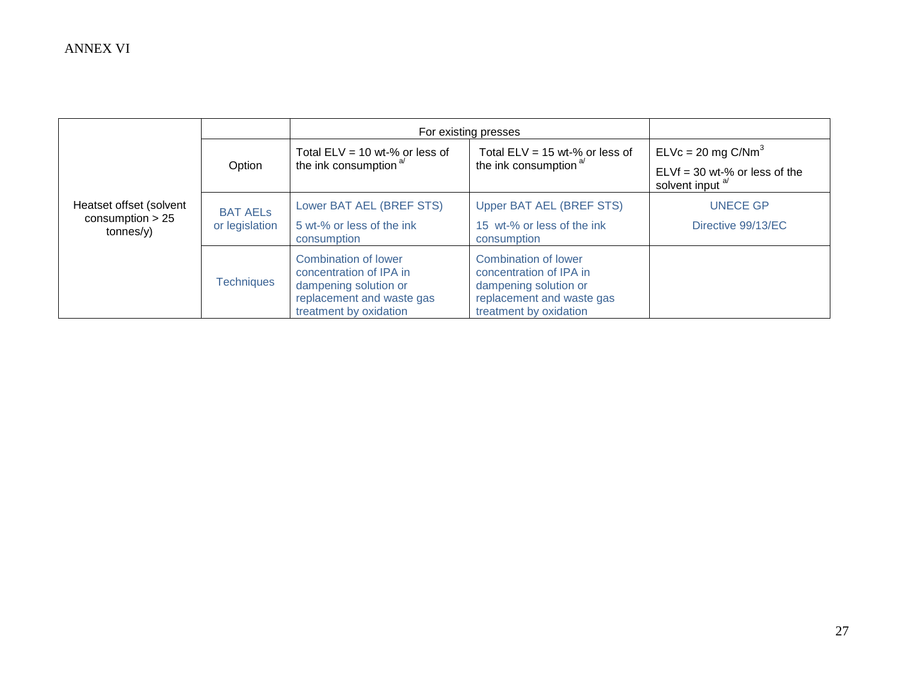|                                                            |                                   | For existing presses                                                                                                                   |                                                                                                                                        |                                                                                          |
|------------------------------------------------------------|-----------------------------------|----------------------------------------------------------------------------------------------------------------------------------------|----------------------------------------------------------------------------------------------------------------------------------------|------------------------------------------------------------------------------------------|
|                                                            | Option                            | Total ELV = 10 wt-% or less of<br>the ink consumption <sup>a/</sup>                                                                    | Total $ELV = 15$ wt-% or less of<br>the ink consumption <sup>a/</sup>                                                                  | $ELVc = 20$ mg $C/Nm3$<br>$ELVf = 30$ wt-% or less of the<br>solvent input <sup>a/</sup> |
| Heatset offset (solvent<br>consumption $> 25$<br>tonnes/y) | <b>BAT AELS</b><br>or legislation | Lower BAT AEL (BREF STS)<br>5 wt-% or less of the ink<br>consumption                                                                   | Upper BAT AEL (BREF STS)<br>15 wt-% or less of the ink<br>consumption                                                                  | <b>UNECE GP</b><br>Directive 99/13/EC                                                    |
|                                                            | <b>Techniques</b>                 | <b>Combination of lower</b><br>concentration of IPA in<br>dampening solution or<br>replacement and waste gas<br>treatment by oxidation | <b>Combination of lower</b><br>concentration of IPA in<br>dampening solution or<br>replacement and waste gas<br>treatment by oxidation |                                                                                          |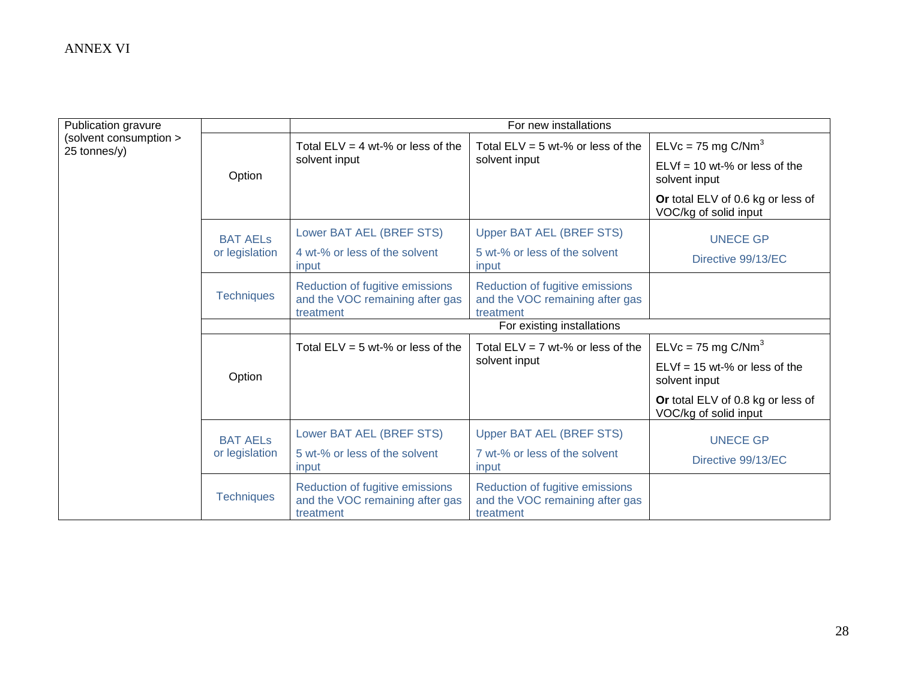| Publication gravure                    |                   | For new installations                                                           |                                                                                 |                                                            |  |  |
|----------------------------------------|-------------------|---------------------------------------------------------------------------------|---------------------------------------------------------------------------------|------------------------------------------------------------|--|--|
| (solvent consumption ><br>25 tonnes/y) |                   | Total $ELV = 4$ wt-% or less of the                                             | Total $ELV = 5$ wt-% or less of the                                             | $ELVc = 75$ mg $C/Nm3$                                     |  |  |
|                                        | Option            | solvent input                                                                   | solvent input                                                                   | $ELVf = 10$ wt-% or less of the<br>solvent input           |  |  |
|                                        |                   |                                                                                 |                                                                                 | Or total ELV of 0.6 kg or less of<br>VOC/kg of solid input |  |  |
|                                        | <b>BAT AELS</b>   | Lower BAT AEL (BREF STS)                                                        | <b>Upper BAT AEL (BREF STS)</b>                                                 | <b>UNECE GP</b>                                            |  |  |
|                                        | or legislation    | 4 wt-% or less of the solvent<br>input                                          | 5 wt-% or less of the solvent<br>input                                          | Directive 99/13/EC                                         |  |  |
|                                        | <b>Techniques</b> | Reduction of fugitive emissions<br>and the VOC remaining after gas<br>treatment | Reduction of fugitive emissions<br>and the VOC remaining after gas<br>treatment |                                                            |  |  |
|                                        |                   | For existing installations                                                      |                                                                                 |                                                            |  |  |
|                                        | Option            | Total $ELV = 5$ wt-% or less of the                                             | Total $ELV = 7$ wt-% or less of the                                             | $ELVc = 75$ mg $C/Nm3$                                     |  |  |
|                                        |                   |                                                                                 | solvent input                                                                   | $ELVf = 15 wt-% or less of the$<br>solvent input           |  |  |
|                                        |                   |                                                                                 |                                                                                 | Or total ELV of 0.8 kg or less of<br>VOC/kg of solid input |  |  |
|                                        | <b>BAT AELS</b>   | Lower BAT AEL (BREF STS)                                                        | Upper BAT AEL (BREF STS)                                                        | <b>UNECE GP</b>                                            |  |  |
|                                        | or legislation    | 5 wt-% or less of the solvent<br>input                                          | 7 wt-% or less of the solvent<br>input                                          | Directive 99/13/EC                                         |  |  |
|                                        | <b>Techniques</b> | Reduction of fugitive emissions<br>and the VOC remaining after gas<br>treatment | Reduction of fugitive emissions<br>and the VOC remaining after gas<br>treatment |                                                            |  |  |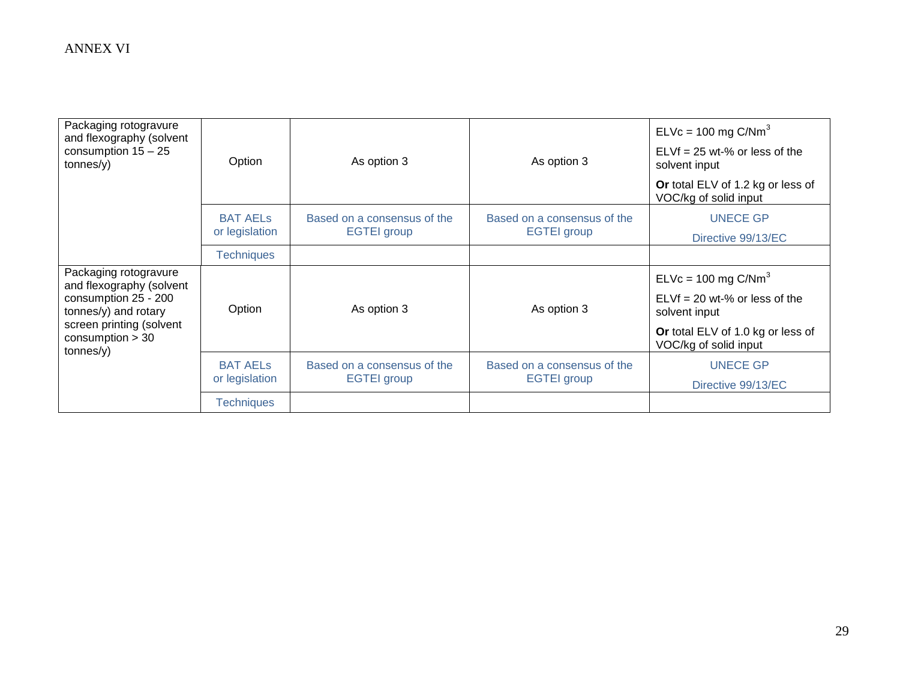| Packaging rotogravure<br>and flexography (solvent<br>consumption $15 - 25$<br>tonnes/y)                     | Option            | As option 3                 | As option 3                 | $ELVc = 100$ mg $C/Nm3$<br>$ELVf = 25$ wt-% or less of the<br>solvent input<br>Or total ELV of 1.2 kg or less of |
|-------------------------------------------------------------------------------------------------------------|-------------------|-----------------------------|-----------------------------|------------------------------------------------------------------------------------------------------------------|
|                                                                                                             |                   |                             |                             | VOC/kg of solid input                                                                                            |
|                                                                                                             | <b>BAT AELS</b>   | Based on a consensus of the | Based on a consensus of the | <b>UNECE GP</b>                                                                                                  |
|                                                                                                             | or legislation    | <b>EGTEI</b> group          | <b>EGTEI</b> group          | Directive 99/13/EC                                                                                               |
|                                                                                                             | <b>Techniques</b> |                             |                             |                                                                                                                  |
| Packaging rotogravure<br>and flexography (solvent                                                           |                   |                             |                             | $ELVc = 100$ mg $C/Nm3$                                                                                          |
| consumption 25 - 200<br>tonnes/y) and rotary<br>screen printing (solvent<br>consumption $>$ 30<br>tonnes/y) | Option            | As option 3                 | As option 3                 | $ELVf = 20$ wt-% or less of the<br>solvent input                                                                 |
|                                                                                                             |                   |                             |                             | Or total ELV of 1.0 kg or less of<br>VOC/kg of solid input                                                       |
|                                                                                                             | <b>BAT AELS</b>   | Based on a consensus of the | Based on a consensus of the | <b>UNECE GP</b>                                                                                                  |
|                                                                                                             | or legislation    | <b>EGTEI</b> group          | <b>EGTEI</b> group          | Directive 99/13/EC                                                                                               |
|                                                                                                             | <b>Techniques</b> |                             |                             |                                                                                                                  |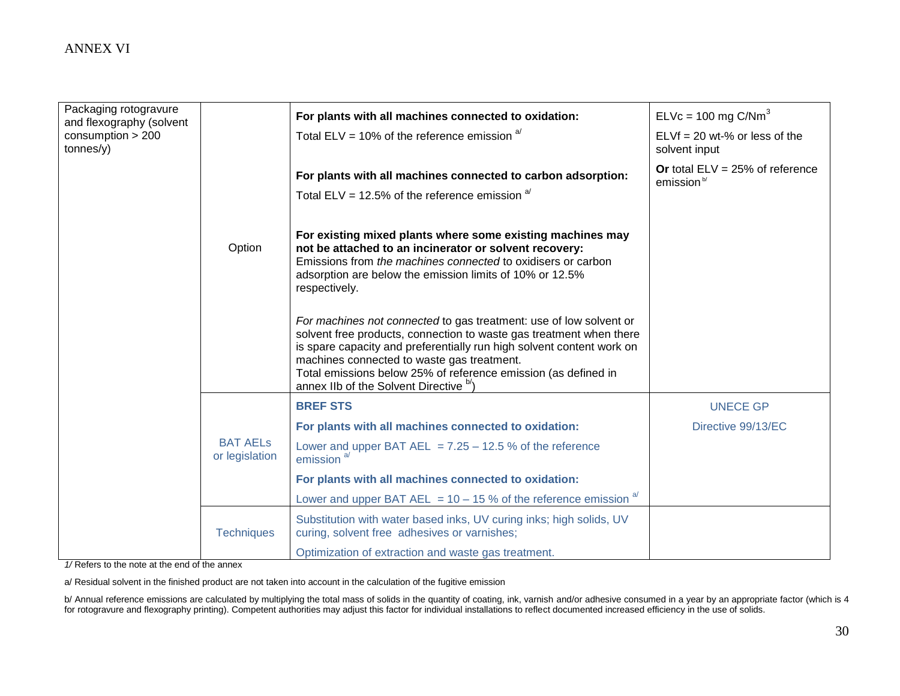| Packaging rotogravure<br>and flexography (solvent |                                   | For plants with all machines connected to oxidation:                                                                                                                                                                                                                                                                                                                        | $ELVc = 100$ mg C/Nm <sup>3</sup>                           |
|---------------------------------------------------|-----------------------------------|-----------------------------------------------------------------------------------------------------------------------------------------------------------------------------------------------------------------------------------------------------------------------------------------------------------------------------------------------------------------------------|-------------------------------------------------------------|
| consumption $> 200$<br>tonnes/y)                  |                                   | Total ELV = 10% of the reference emission $a^{1}$                                                                                                                                                                                                                                                                                                                           | $ELVf = 20$ wt-% or less of the<br>solvent input            |
|                                                   |                                   | For plants with all machines connected to carbon adsorption:                                                                                                                                                                                                                                                                                                                | Or total $ELV = 25%$ of reference<br>emission <sup>b/</sup> |
|                                                   |                                   | Total ELV = 12.5% of the reference emission $a^{1/2}$                                                                                                                                                                                                                                                                                                                       |                                                             |
|                                                   | Option                            | For existing mixed plants where some existing machines may<br>not be attached to an incinerator or solvent recovery:<br>Emissions from the machines connected to oxidisers or carbon<br>adsorption are below the emission limits of 10% or 12.5%<br>respectively.                                                                                                           |                                                             |
|                                                   |                                   | For machines not connected to gas treatment: use of low solvent or<br>solvent free products, connection to waste gas treatment when there<br>is spare capacity and preferentially run high solvent content work on<br>machines connected to waste gas treatment.<br>Total emissions below 25% of reference emission (as defined in<br>annex IIb of the Solvent Directive b/ |                                                             |
|                                                   |                                   | <b>BREF STS</b>                                                                                                                                                                                                                                                                                                                                                             | <b>UNECE GP</b>                                             |
|                                                   |                                   | For plants with all machines connected to oxidation:                                                                                                                                                                                                                                                                                                                        | Directive 99/13/EC                                          |
|                                                   | <b>BAT AELS</b><br>or legislation | Lower and upper BAT AEL = $7.25 - 12.5$ % of the reference<br>emission <sup>a/</sup>                                                                                                                                                                                                                                                                                        |                                                             |
|                                                   |                                   | For plants with all machines connected to oxidation:                                                                                                                                                                                                                                                                                                                        |                                                             |
|                                                   |                                   | <u>Lower and upper BAT AEL = 10 – 15 % of the reference emission <math>a^{i}</math></u>                                                                                                                                                                                                                                                                                     |                                                             |
|                                                   | <b>Techniques</b>                 | Substitution with water based inks, UV curing inks; high solids, UV<br>curing, solvent free adhesives or varnishes;                                                                                                                                                                                                                                                         |                                                             |
|                                                   |                                   | Optimization of extraction and waste gas treatment.                                                                                                                                                                                                                                                                                                                         |                                                             |

*1/* Refers to the note at the end of the annex

a/ Residual solvent in the finished product are not taken into account in the calculation of the fugitive emission

b/ Annual reference emissions are calculated by multiplying the total mass of solids in the quantity of coating, ink, varnish and/or adhesive consumed in a year by an appropriate factor (which is 4 for rotogravure and flexography printing). Competent authorities may adjust this factor for individual installations to reflect documented increased efficiency in the use of solids.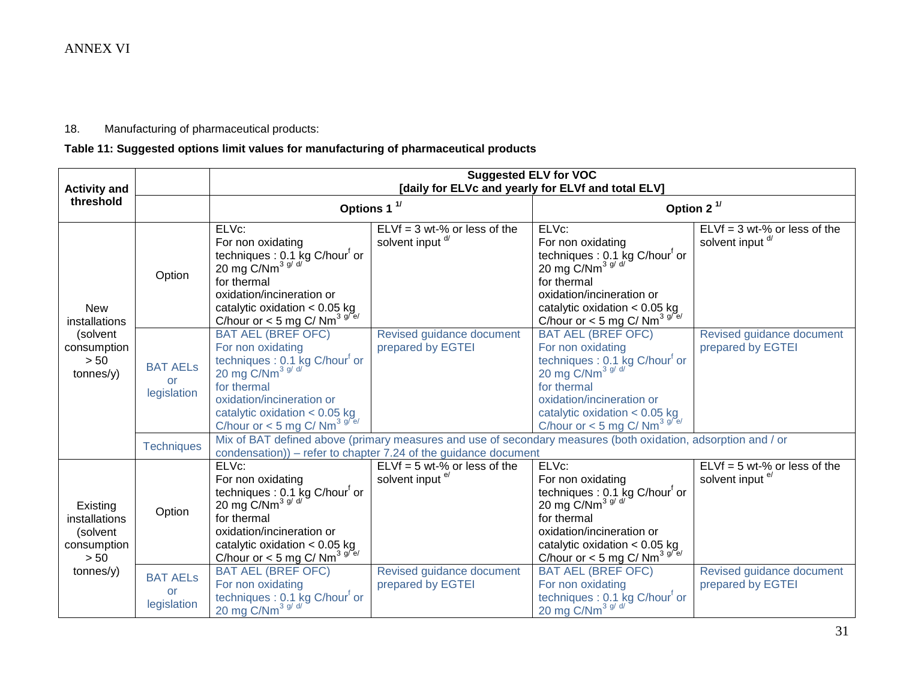## 18. Manufacturing of pharmaceutical products:

# **Table 11: Suggested options limit values for manufacturing of pharmaceutical products**

| <b>Activity and</b>                                            |                                      | <b>Suggested ELV for VOC</b><br>[daily for ELVc and yearly for ELVf and total ELV]                                                                                                                                                                       |                                                               |                                                                                                                                                                                                                                                   |                                                               |  |  |
|----------------------------------------------------------------|--------------------------------------|----------------------------------------------------------------------------------------------------------------------------------------------------------------------------------------------------------------------------------------------------------|---------------------------------------------------------------|---------------------------------------------------------------------------------------------------------------------------------------------------------------------------------------------------------------------------------------------------|---------------------------------------------------------------|--|--|
| threshold                                                      |                                      |                                                                                                                                                                                                                                                          | Options 1 <sup>1/</sup>                                       | Option 2 <sup>1/</sup>                                                                                                                                                                                                                            |                                                               |  |  |
| <b>New</b><br>installations                                    | Option                               | ELVc:<br>For non oxidating<br>techniques : 0.1 kg C/hour <sup>f</sup> or<br>20 mg C/Nm <sup>3 g/ d/</sup><br>for thermal<br>oxidation/incineration or<br>catalytic oxidation $< 0.05$ kg<br>C/hour or < 5 mg C/ Nm <sup>3 g/e/</sup>                     | $ELVf = 3 wt-% or less of the$<br>solvent input <sup>d/</sup> | ELVc:<br>For non oxidating<br>techniques : 0.1 kg C/hour <sup>f</sup> or<br>20 mg C/Nm <sup>3 g/ d/</sup><br>for thermal<br>oxidation/incineration or<br>catalytic oxidation $< 0.05$ kg<br>C/hour or < 5 mg C/ Nm <sup>3 g/<math>e</math>/</sup> | $ELVf = 3 wt-% or less of the$<br>solvent input <sup>d/</sup> |  |  |
| (solvent<br>consumption<br>> 50<br>tonnes/y)                   | <b>BAT AELS</b><br>or<br>legislation | <b>BAT AEL (BREF OFC)</b><br>For non oxidating<br>techniques : 0.1 kg C/hour <sup>f</sup> or<br>20 mg C/Nm <sup>3 g/ d/</sup><br>for thermal<br>oxidation/incineration or<br>catalytic oxidation $< 0.05$ kg<br>C/hour or < 5 mg C/ Nm <sup>3 g/e/</sup> | Revised guidance document<br>prepared by EGTEI                | <b>BAT AEL (BREF OFC)</b><br>For non oxidating<br>techniques : 0.1 kg C/hour <sup>f</sup> or<br>20 mg $C/Nm^{3 g/d}$<br>for thermal<br>oxidation/incineration or<br>catalytic oxidation < $0.05$ kg<br>C/hour or < 5 mg C/ Nm <sup>3 g/e/</sup>   | Revised guidance document<br>prepared by EGTEI                |  |  |
|                                                                | <b>Techniques</b>                    | Mix of BAT defined above (primary measures and use of secondary measures (both oxidation, adsorption and / or<br>condensation)) – refer to chapter 7.24 of the guidance document                                                                         |                                                               |                                                                                                                                                                                                                                                   |                                                               |  |  |
| Existing<br>installations<br>(solvent<br>consumption<br>$> 50$ | Option                               | ELVc:<br>For non oxidating<br>techniques : 0.1 kg C/hour <sup>f</sup> or<br>20 mg C/Nm <sup>3 g/ d/</sup><br>for thermal<br>oxidation/incineration or<br>catalytic oxidation $< 0.05$ kg<br>C/hour or < 5 mg C/ Nm <sup>3 g/e/</sup>                     | $ELVf = 5 wt-% or less of the$<br>solvent input e/            | ELVc:<br>For non oxidating<br>techniques : 0.1 kg C/hour <sup>f</sup> or<br>20 mg C/Nm <sup>3 g/ d/</sup><br>for thermal<br>oxidation/incineration or<br>catalytic oxidation $< 0.05$ kg<br>C/hour or < 5 mg C/ Nm <sup>3 g/e/</sup>              | $ELVf = 5 wt-% or less of the$<br>solvent input e/            |  |  |
| tonnes/y)                                                      | <b>BAT AELS</b><br>or<br>legislation | <b>BAT AEL (BREF OFC)</b><br>For non oxidating<br>techniques : 0.1 kg C/hour <sup>f</sup> or<br>20 mg C/Nm <sup>3 g/ d/</sup>                                                                                                                            | Revised guidance document<br>prepared by EGTEI                | <b>BAT AEL (BREF OFC)</b><br>For non oxidating<br>techniques : 0.1 kg C/hour <sup>t</sup> or<br>20 mg C/Nm <sup>3 g/ d/</sup>                                                                                                                     | Revised guidance document<br>prepared by EGTEI                |  |  |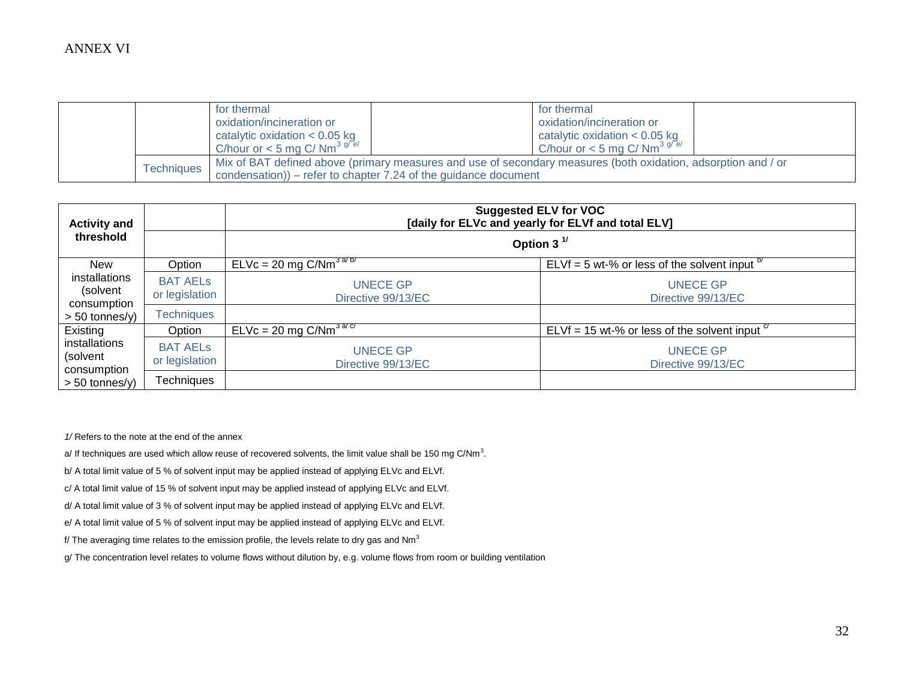|  |            | for thermal                                                                                                   |  | for thermal                                             |  |
|--|------------|---------------------------------------------------------------------------------------------------------------|--|---------------------------------------------------------|--|
|  |            | oxidation/incineration or                                                                                     |  | oxidation/incineration or                               |  |
|  |            | catalytic oxidation $< 0.05$ kg                                                                               |  | catalytic oxidation $< 0.05$ kg                         |  |
|  |            | C/hour or $<$ 5 mg C/ Nm <sup>3 g/<math>e</math>/</sup>                                                       |  | C/hour or $<$ 5 mg C/ Nm <sup>3 g/<math>e</math>/</sup> |  |
|  | Techniaues | Mix of BAT defined above (primary measures and use of secondary measures (both oxidation, adsorption and / or |  |                                                         |  |
|  |            | condensation)) – refer to chapter $7.24$ of the guidance document                                             |  |                                                         |  |

| <b>Activity and</b>                      |                                   | <b>Suggested ELV for VOC</b><br>[daily for ELVc and yearly for ELVf and total ELV] |                                                       |  |  |  |
|------------------------------------------|-----------------------------------|------------------------------------------------------------------------------------|-------------------------------------------------------|--|--|--|
| threshold                                |                                   | Option 3 $1$                                                                       |                                                       |  |  |  |
| <b>New</b>                               | Option                            | $ELVc = 20 mg C/Nm^{3.875}$                                                        | ELVf = 5 wt-% or less of the solvent input $b$        |  |  |  |
| installations<br>(solvent<br>consumption | <b>BAT AELS</b><br>or legislation | <b>UNECE GP</b><br>Directive 99/13/EC                                              | <b>UNECE GP</b><br>Directive 99/13/EC                 |  |  |  |
| $> 50$ tonnes/y)                         | <b>Techniques</b>                 |                                                                                    |                                                       |  |  |  |
| Existing                                 | Option                            | $ELVc = 20$ mg $C/Nm^{3 dC}$                                                       | ELVf = 15 wt-% or less of the solvent input $\degree$ |  |  |  |
| installations<br>(solvent<br>consumption | <b>BAT AELS</b><br>or legislation | <b>UNECE GP</b><br>Directive 99/13/EC                                              | <b>UNECE GP</b><br>Directive 99/13/EC                 |  |  |  |
| $> 50$ tonnes/y)                         | Techniques                        |                                                                                    |                                                       |  |  |  |

*1/* Refers to the note at the end of the annex

a/ If techniques are used which allow reuse of recovered solvents, the limit value shall be 150 mg C/Nm<sup>3</sup>.

b/ A total limit value of 5 % of solvent input may be applied instead of applying ELVc and ELVf.

c/ A total limit value of 15 % of solvent input may be applied instead of applying ELVc and ELVf.

d/ A total limit value of 3 % of solvent input may be applied instead of applying ELVc and ELVf.

e/ A total limit value of 5 % of solvent input may be applied instead of applying ELVc and ELVf.

f/ The averaging time relates to the emission profile, the levels relate to dry gas and  $Nm^3$ 

g/ The concentration level relates to volume flows without dilution by, e.g. volume flows from room or building ventilation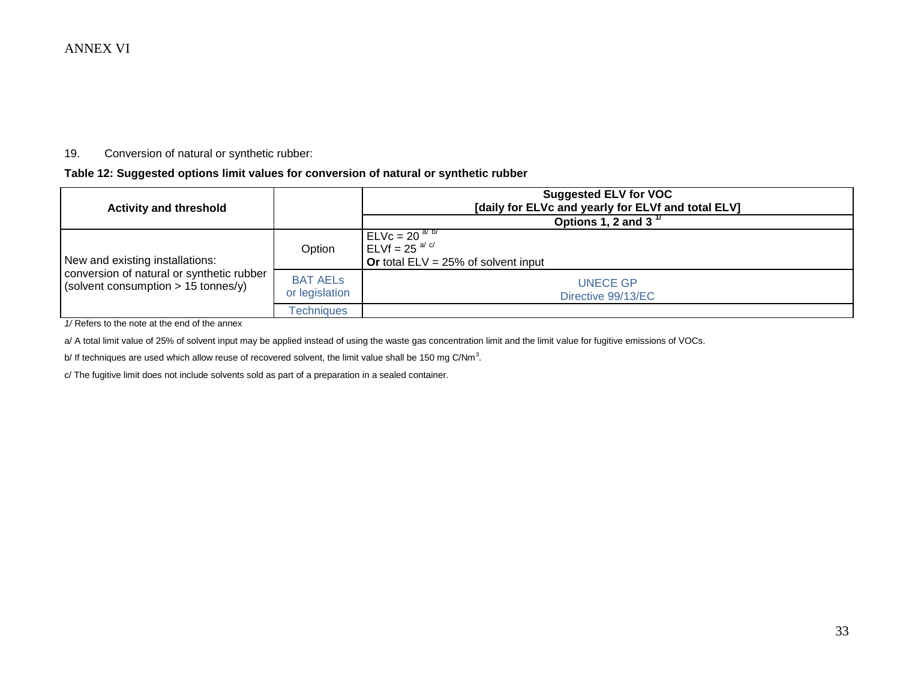#### 19. Conversion of natural or synthetic rubber:

#### **Table 12: Suggested options limit values for conversion of natural or synthetic rubber**

| <b>Activity and threshold</b>                                                      |                                   | <b>Suggested ELV for VOC</b><br>[daily for ELVc and yearly for ELVf and total ELV]       |  |  |
|------------------------------------------------------------------------------------|-----------------------------------|------------------------------------------------------------------------------------------|--|--|
|                                                                                    |                                   | Options 1, 2 and 3 $^{\frac{1}{2}}$                                                      |  |  |
| New and existing installations:                                                    | Option                            | $ELVc = 20^{a/b}$<br>$\mathsf{ELVf} = 25^{a/c}$<br>Or total $ELV = 25%$ of solvent input |  |  |
| conversion of natural or synthetic rubber<br>(solvent consumption $> 15$ tonnes/y) | <b>BAT AELS</b><br>or legislation | <b>UNECE GP</b><br>Directive 99/13/EC                                                    |  |  |
|                                                                                    | <b>Fechniques</b>                 |                                                                                          |  |  |

*1/* Refers to the note at the end of the annex

a/ A total limit value of 25% of solvent input may be applied instead of using the waste gas concentration limit and the limit value for fugitive emissions of VOCs.

b/ If techniques are used which allow reuse of recovered solvent, the limit value shall be 150 mg C/Nm<sup>3</sup>.

c/ The fugitive limit does not include solvents sold as part of a preparation in a sealed container.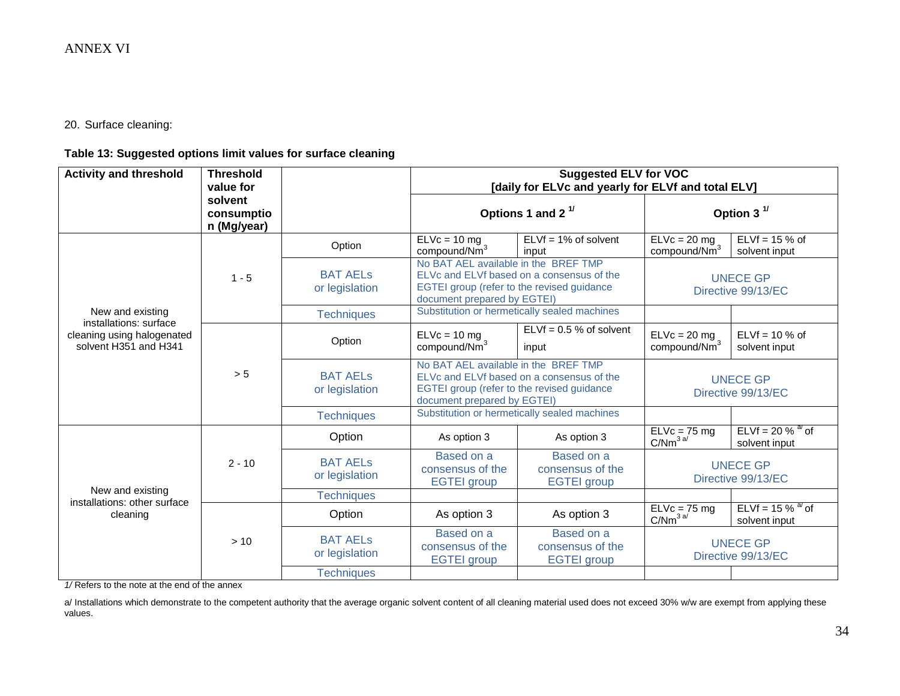20. Surface cleaning:

## **Table 13: Suggested options limit values for surface cleaning**

| <b>Activity and threshold</b>                                                 | <b>Threshold</b><br>value for        |                                   | <b>Suggested ELV for VOC</b><br>[daily for ELVc and yearly for ELVf and total ELV]                                                                             |                                                      |                                            |                                                 |
|-------------------------------------------------------------------------------|--------------------------------------|-----------------------------------|----------------------------------------------------------------------------------------------------------------------------------------------------------------|------------------------------------------------------|--------------------------------------------|-------------------------------------------------|
|                                                                               | solvent<br>consumptio<br>n (Mg/year) |                                   | Options 1 and 2 $1/$                                                                                                                                           |                                                      | Option 3 $1/$                              |                                                 |
|                                                                               |                                      | Option                            | $ELVc = 10 mg$<br>compound/Nm <sup>3</sup>                                                                                                                     | $ELVf = 1%$ of solvent<br>input                      | $ELVc = 20 mg$<br>compound/Nm <sup>3</sup> | ELVf = $15%$ of<br>solvent input                |
|                                                                               | $1 - 5$                              | <b>BAT AELS</b><br>or legislation | No BAT AEL available in the BREF TMP<br>ELVc and ELVf based on a consensus of the<br>EGTEI group (refer to the revised guidance<br>document prepared by EGTEI) |                                                      | <b>UNECE GP</b><br>Directive 99/13/EC      |                                                 |
| New and existing                                                              |                                      | <b>Techniques</b>                 |                                                                                                                                                                | Substitution or hermetically sealed machines         |                                            |                                                 |
| installations: surface<br>cleaning using halogenated<br>solvent H351 and H341 | > 5                                  | Option                            | $ELVc = 10 mg$<br>compound/Nm <sup>3</sup>                                                                                                                     | $ELVf = 0.5 %$ of solvent<br>input                   | $ELVc = 20 mg$<br>compound/Nm <sup>3</sup> | $ELVf = 10 %$ of<br>solvent input               |
|                                                                               |                                      | <b>BAT AELS</b><br>or legislation | No BAT AEL available in the BREF TMP<br>ELVc and ELVf based on a consensus of the<br>EGTEI group (refer to the revised guidance<br>document prepared by EGTEI) |                                                      | <b>UNECE GP</b><br>Directive 99/13/EC      |                                                 |
|                                                                               |                                      | <b>Techniques</b>                 | Substitution or hermetically sealed machines                                                                                                                   |                                                      |                                            |                                                 |
|                                                                               |                                      | Option                            | As option 3                                                                                                                                                    | As option 3                                          | $\overline{ELVc}$ = 75 mg<br>$C/Nm^{3a/}$  | $ELVf = 20 %$ $\frac{a}{b}$ of<br>solvent input |
|                                                                               | $2 - 10$                             | <b>BAT AELS</b><br>or legislation | Based on a<br>consensus of the<br><b>EGTEI</b> group                                                                                                           | Based on a<br>consensus of the<br><b>EGTEI</b> group | <b>UNECE GP</b><br>Directive 99/13/EC      |                                                 |
| New and existing<br>installations: other surface                              |                                      | <b>Techniques</b>                 |                                                                                                                                                                |                                                      |                                            |                                                 |
| cleaning                                                                      |                                      | Option                            | As option 3                                                                                                                                                    | As option 3                                          | ELVc = 75 mg<br>C/Nm <sup>3 a/</sup>       | ELVf = 15 % $^{a}$ of<br>solvent input          |
|                                                                               | > 10                                 | <b>BAT AELS</b><br>or legislation | Based on a<br>consensus of the<br><b>EGTEI</b> group                                                                                                           | Based on a<br>consensus of the<br><b>EGTEI</b> group |                                            | <b>UNECE GP</b><br>Directive 99/13/EC           |
|                                                                               |                                      | <b>Techniques</b>                 |                                                                                                                                                                |                                                      |                                            |                                                 |

*1/* Refers to the note at the end of the annex

a/ Installations which demonstrate to the competent authority that the average organic solvent content of all cleaning material used does not exceed 30% w/w are exempt from applying these values.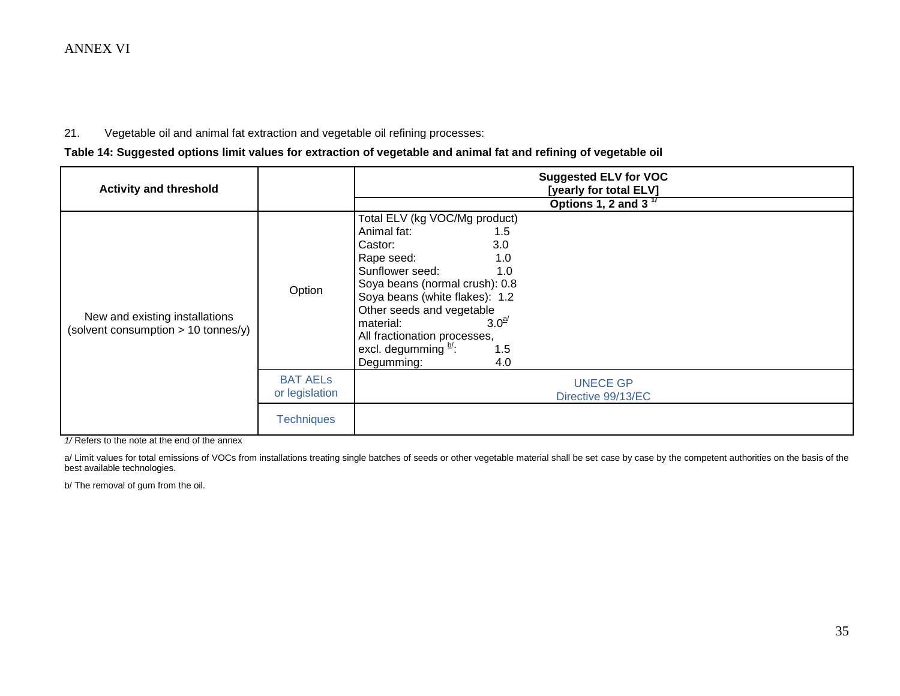#### 21. Vegetable oil and animal fat extraction and vegetable oil refining processes:

**Table 14: Suggested options limit values for extraction of vegetable and animal fat and refining of vegetable oil**

| <b>Activity and threshold</b>                                           |                                   | <b>Suggested ELV for VOC</b><br>[yearly for total ELV]                                                                                                                                                                                                                                                                                                |  |  |  |
|-------------------------------------------------------------------------|-----------------------------------|-------------------------------------------------------------------------------------------------------------------------------------------------------------------------------------------------------------------------------------------------------------------------------------------------------------------------------------------------------|--|--|--|
|                                                                         |                                   | Options 1, 2 and 3 $17$                                                                                                                                                                                                                                                                                                                               |  |  |  |
| New and existing installations<br>(solvent consumption $> 10$ tonnes/y) | Option                            | Total ELV (kg VOC/Mg product)<br>Animal fat:<br>1.5<br>3.0<br>Castor:<br>1.0<br>Rape seed:<br>Sunflower seed:<br>1.0<br>Soya beans (normal crush): 0.8<br>Soya beans (white flakes): 1.2<br>Other seeds and vegetable<br>3.0 <sup>a</sup><br>material:<br>All fractionation processes,<br>excl. degumming $\frac{b}{c}$ .<br>1.5<br>Degumming:<br>4.0 |  |  |  |
|                                                                         | <b>BAT AELS</b><br>or legislation | <b>UNECE GP</b><br>Directive 99/13/EC                                                                                                                                                                                                                                                                                                                 |  |  |  |
|                                                                         | <b>Techniques</b>                 |                                                                                                                                                                                                                                                                                                                                                       |  |  |  |

*1/* Refers to the note at the end of the annex

a/ Limit values for total emissions of VOCs from installations treating single batches of seeds or other vegetable material shall be set case by case by the competent authorities on the basis of the best available technologies.

b/ The removal of gum from the oil.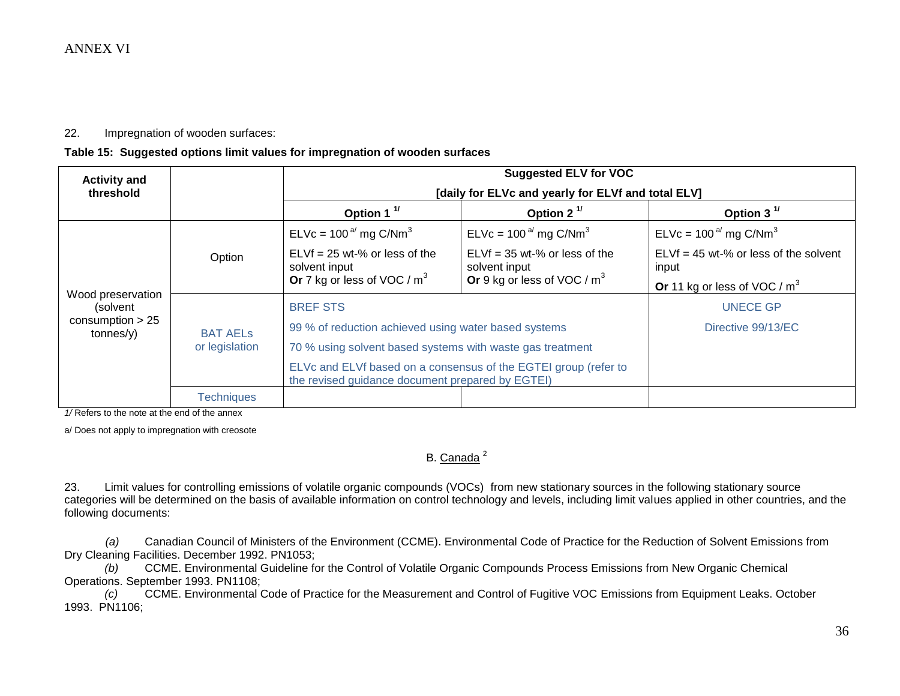#### 22. Impregnation of wooden surfaces:

#### **Table 15: Suggested options limit values for impregnation of wooden surfaces**

| <b>Activity and</b>             |                                   | <b>Suggested ELV for VOC</b><br>[daily for ELVc and yearly for ELVf and total ELV]                                  |                                                  |                                                  |  |  |
|---------------------------------|-----------------------------------|---------------------------------------------------------------------------------------------------------------------|--------------------------------------------------|--------------------------------------------------|--|--|
| threshold                       |                                   |                                                                                                                     |                                                  |                                                  |  |  |
|                                 |                                   | Option 1 $1$                                                                                                        | Option 2 $1$                                     | Option 3 $1$                                     |  |  |
|                                 | Option                            | $ELVc = 100a$ mg C/Nm <sup>3</sup>                                                                                  | $ELVc = 100a$ mg C/Nm <sup>3</sup>               | $ELVc = 100a$ mg C/Nm <sup>3</sup>               |  |  |
|                                 |                                   | $ELVf = 25$ wt-% or less of the<br>solvent input                                                                    | $ELVf = 35$ wt-% or less of the<br>solvent input | $ELVf = 45$ wt-% or less of the solvent<br>input |  |  |
|                                 |                                   | Or 7 kg or less of VOC / m <sup>3</sup>                                                                             | Or 9 kg or less of VOC / $m3$                    | Or 11 kg or less of VOC / $m3$                   |  |  |
| Wood preservation<br>(solvent   | <b>BAT AELS</b><br>or legislation | <b>BREF STS</b>                                                                                                     | <b>UNECE GP</b>                                  |                                                  |  |  |
| consumption $> 25$<br>tonnes(y) |                                   | 99 % of reduction achieved using water based systems                                                                | Directive 99/13/EC                               |                                                  |  |  |
|                                 |                                   | 70 % using solvent based systems with waste gas treatment                                                           |                                                  |                                                  |  |  |
|                                 |                                   | ELVc and ELVf based on a consensus of the EGTEI group (refer to<br>the revised guidance document prepared by EGTEI) |                                                  |                                                  |  |  |
|                                 | <b>Techniques</b>                 |                                                                                                                     |                                                  |                                                  |  |  |

*1/* Refers to the note at the end of the annex

a/ Does not apply to impregnation with creosote

# B. Canada<sup>2</sup>

23. Limit values for controlling emissions of volatile organic compounds (VOCs) from new stationary sources in the following stationary source categories will be determined on the basis of available information on control technology and levels, including limit values applied in other countries, and the following documents:

*(a)* Canadian Council of Ministers of the Environment (CCME). Environmental Code of Practice for the Reduction of Solvent Emissions from Dry Cleaning Facilities. December 1992. PN1053;

 *(b)* CCME. Environmental Guideline for the Control of Volatile Organic Compounds Process Emissions from New Organic Chemical Operations. September 1993. PN1108;

 *(c)* CCME. Environmental Code of Practice for the Measurement and Control of Fugitive VOC Emissions from Equipment Leaks. October 1993. PN1106;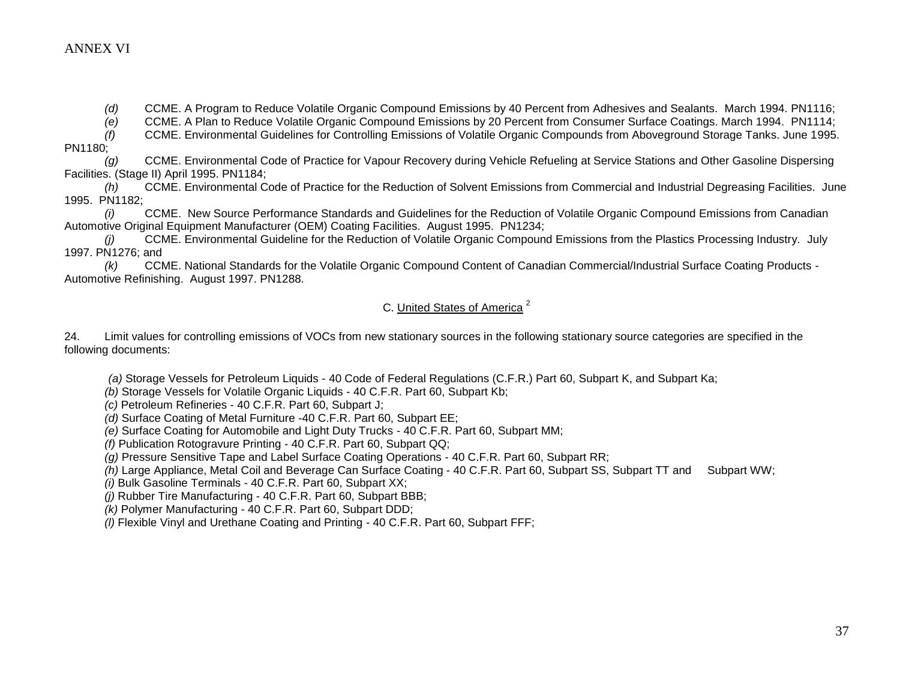*(d)* CCME. A Program to Reduce Volatile Organic Compound Emissions by 40 Percent from Adhesives and Sealants. March 1994. PN1116;

*(e)* CCME. A Plan to Reduce Volatile Organic Compound Emissions by 20 Percent from Consumer Surface Coatings. March 1994. PN1114;

 *(f)* CCME. Environmental Guidelines for Controlling Emissions of Volatile Organic Compounds from Aboveground Storage Tanks. June 1995. PN1180;

*(g)* CCME. Environmental Code of Practice for Vapour Recovery during Vehicle Refueling at Service Stations and Other Gasoline Dispersing Facilities. (Stage II) April 1995. PN1184;

 *(h)* CCME. Environmental Code of Practice for the Reduction of Solvent Emissions from Commercial and Industrial Degreasing Facilities. June 1995. PN1182;

 *(i)* CCME. New Source Performance Standards and Guidelines for the Reduction of Volatile Organic Compound Emissions from Canadian Automotive Original Equipment Manufacturer (OEM) Coating Facilities. August 1995. PN1234;

 *(j)* CCME. Environmental Guideline for the Reduction of Volatile Organic Compound Emissions from the Plastics Processing Industry. July 1997. PN1276; and

 *(k)* CCME. National Standards for the Volatile Organic Compound Content of Canadian Commercial/Industrial Surface Coating Products - Automotive Refinishing. August 1997. PN1288.

### C. United States of America <sup>2</sup>

24. Limit values for controlling emissions of VOCs from new stationary sources in the following stationary source categories are specified in the following documents:

*(a)* Storage Vessels for Petroleum Liquids - 40 Code of Federal Regulations (C.F.R.) Part 60, Subpart K, and Subpart Ka;

*(b)* Storage Vessels for Volatile Organic Liquids - 40 C.F.R. Part 60, Subpart Kb;

*(c)* Petroleum Refineries - 40 C.F.R. Part 60, Subpart J;

*(d)* Surface Coating of Metal Furniture -40 C.F.R. Part 60, Subpart EE;

*(e)* Surface Coating for Automobile and Light Duty Trucks - 40 C.F.R. Part 60, Subpart MM;

*(f)* Publication Rotogravure Printing - 40 C.F.R. Part 60, Subpart QQ;

*(g)* Pressure Sensitive Tape and Label Surface Coating Operations - 40 C.F.R. Part 60, Subpart RR;

*(h)* Large Appliance, Metal Coil and Beverage Can Surface Coating - 40 C.F.R. Part 60, Subpart SS, Subpart TT and Subpart WW;

*(i)* Bulk Gasoline Terminals - 40 C.F.R. Part 60, Subpart XX;

*(j)* Rubber Tire Manufacturing - 40 C.F.R. Part 60, Subpart BBB;

*(k)* Polymer Manufacturing - 40 C.F.R. Part 60, Subpart DDD;

*(l)* Flexible Vinyl and Urethane Coating and Printing - 40 C.F.R. Part 60, Subpart FFF;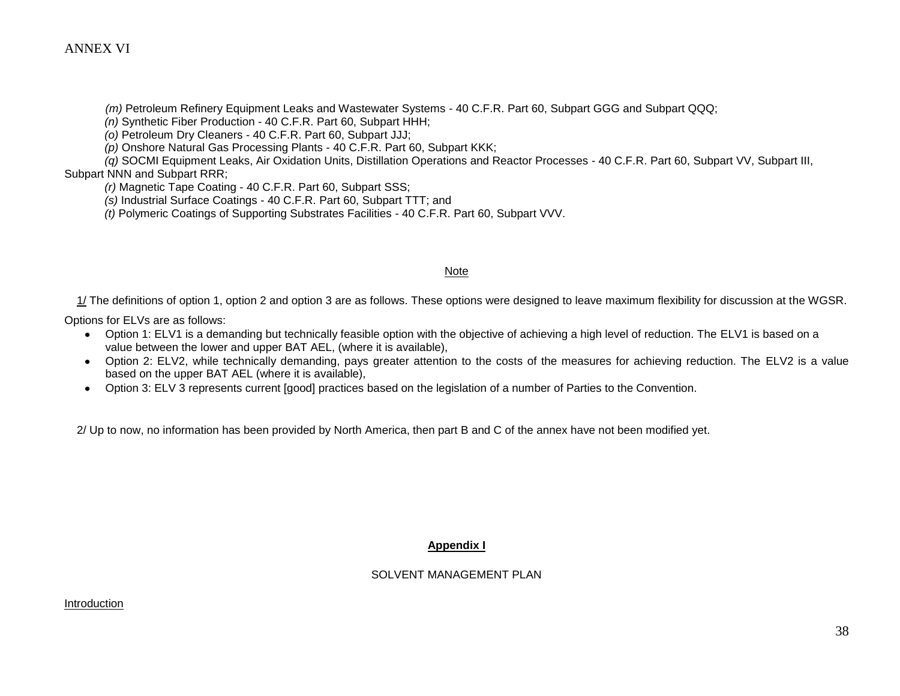*(m)* Petroleum Refinery Equipment Leaks and Wastewater Systems - 40 C.F.R. Part 60, Subpart GGG and Subpart QQQ;

*(n)* Synthetic Fiber Production - 40 C.F.R. Part 60, Subpart HHH;

*(o)* Petroleum Dry Cleaners - 40 C.F.R. Part 60, Subpart JJJ;

*(p)* Onshore Natural Gas Processing Plants - 40 C.F.R. Part 60, Subpart KKK;

 *(q)* SOCMI Equipment Leaks, Air Oxidation Units, Distillation Operations and Reactor Processes - 40 C.F.R. Part 60, Subpart VV, Subpart III, Subpart NNN and Subpart RRR;

*(r)* Magnetic Tape Coating - 40 C.F.R. Part 60, Subpart SSS;

*(s)* Industrial Surface Coatings - 40 C.F.R. Part 60, Subpart TTT; and

*(t)* Polymeric Coatings of Supporting Substrates Facilities - 40 C.F.R. Part 60, Subpart VVV.

#### Note

1/ The definitions of option 1, option 2 and option 3 are as follows. These options were designed to leave maximum flexibility for discussion at the WGSR.

Options for ELVs are as follows:

- Option 1: ELV1 is a demanding but technically feasible option with the objective of achieving a high level of reduction. The ELV1 is based on a value between the lower and upper BAT AEL, (where it is available),
- Option 2: ELV2, while technically demanding, pays greater attention to the costs of the measures for achieving reduction. The ELV2 is a value based on the upper BAT AEL (where it is available),
- Option 3: ELV 3 represents current [good] practices based on the legislation of a number of Parties to the Convention.

2/ Up to now, no information has been provided by North America, then part B and C of the annex have not been modified yet.

#### **Appendix I**

#### SOLVENT MANAGEMENT PLAN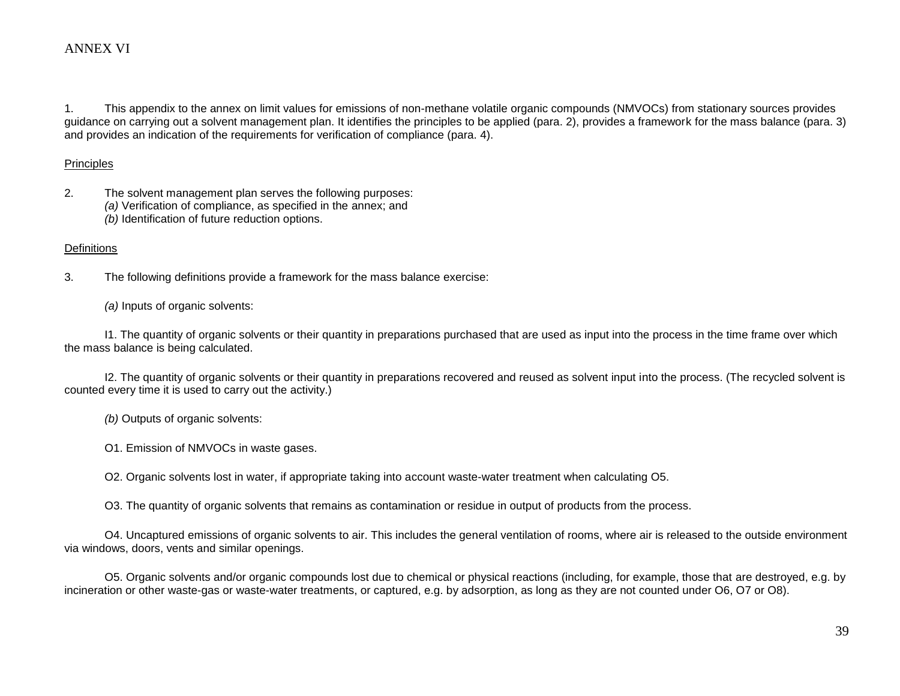1. This appendix to the annex on limit values for emissions of non-methane volatile organic compounds (NMVOCs) from stationary sources provides guidance on carrying out a solvent management plan. It identifies the principles to be applied (para. 2), provides a framework for the mass balance (para. 3) and provides an indication of the requirements for verification of compliance (para. 4).

#### Principles

- 2. The solvent management plan serves the following purposes:
	- *(a)* Verification of compliance, as specified in the annex; and
	- *(b)* Identification of future reduction options.

#### **Definitions**

3. The following definitions provide a framework for the mass balance exercise:

*(a)* Inputs of organic solvents:

 I1. The quantity of organic solvents or their quantity in preparations purchased that are used as input into the process in the time frame over which the mass balance is being calculated.

 I2. The quantity of organic solvents or their quantity in preparations recovered and reused as solvent input into the process. (The recycled solvent is counted every time it is used to carry out the activity.)

*(b)* Outputs of organic solvents:

O1. Emission of NMVOCs in waste gases.

O2. Organic solvents lost in water, if appropriate taking into account waste-water treatment when calculating O5.

O3. The quantity of organic solvents that remains as contamination or residue in output of products from the process.

 O4. Uncaptured emissions of organic solvents to air. This includes the general ventilation of rooms, where air is released to the outside environment via windows, doors, vents and similar openings.

 O5. Organic solvents and/or organic compounds lost due to chemical or physical reactions (including, for example, those that are destroyed, e.g. by incineration or other waste-gas or waste-water treatments, or captured, e.g. by adsorption, as long as they are not counted under O6, O7 or O8).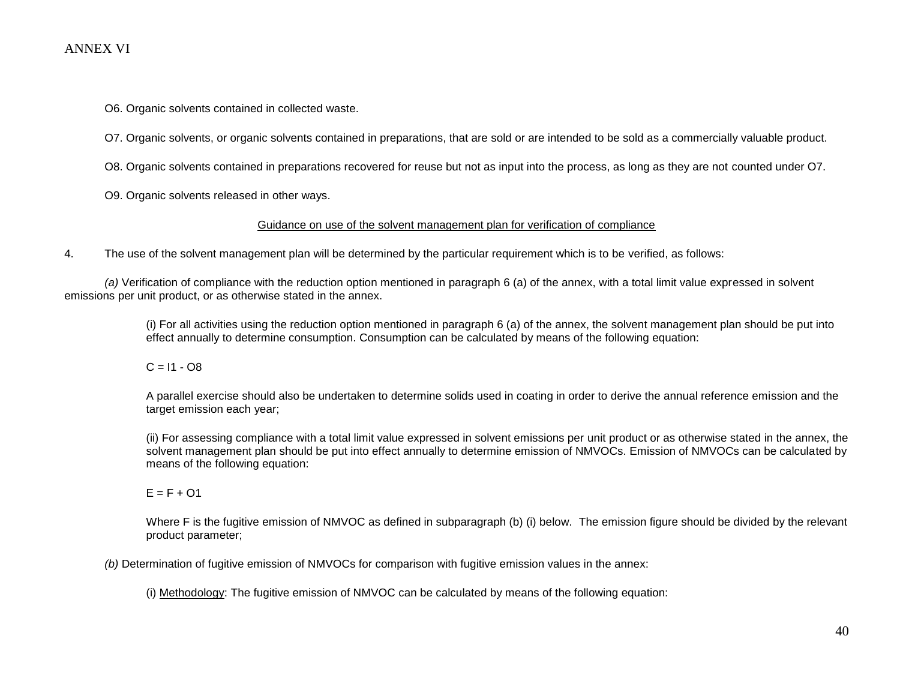O6. Organic solvents contained in collected waste.

O7. Organic solvents, or organic solvents contained in preparations, that are sold or are intended to be sold as a commercially valuable product.

O8. Organic solvents contained in preparations recovered for reuse but not as input into the process, as long as they are not counted under O7.

O9. Organic solvents released in other ways.

#### Guidance on use of the solvent management plan for verification of compliance

4. The use of the solvent management plan will be determined by the particular requirement which is to be verified, as follows:

 *(a)* Verification of compliance with the reduction option mentioned in paragraph 6 (a) of the annex, with a total limit value expressed in solvent emissions per unit product, or as otherwise stated in the annex.

> (i) For all activities using the reduction option mentioned in paragraph 6 (a) of the annex, the solvent management plan should be put into effect annually to determine consumption. Consumption can be calculated by means of the following equation:

 $C = 11 - 08$ 

A parallel exercise should also be undertaken to determine solids used in coating in order to derive the annual reference emission and the target emission each year;

(ii) For assessing compliance with a total limit value expressed in solvent emissions per unit product or as otherwise stated in the annex, the solvent management plan should be put into effect annually to determine emission of NMVOCs. Emission of NMVOCs can be calculated by means of the following equation:

 $E = F + O1$ 

Where F is the fugitive emission of NMVOC as defined in subparagraph (b) (i) below. The emission figure should be divided by the relevant product parameter;

*(b)* Determination of fugitive emission of NMVOCs for comparison with fugitive emission values in the annex:

(i) Methodology: The fugitive emission of NMVOC can be calculated by means of the following equation: